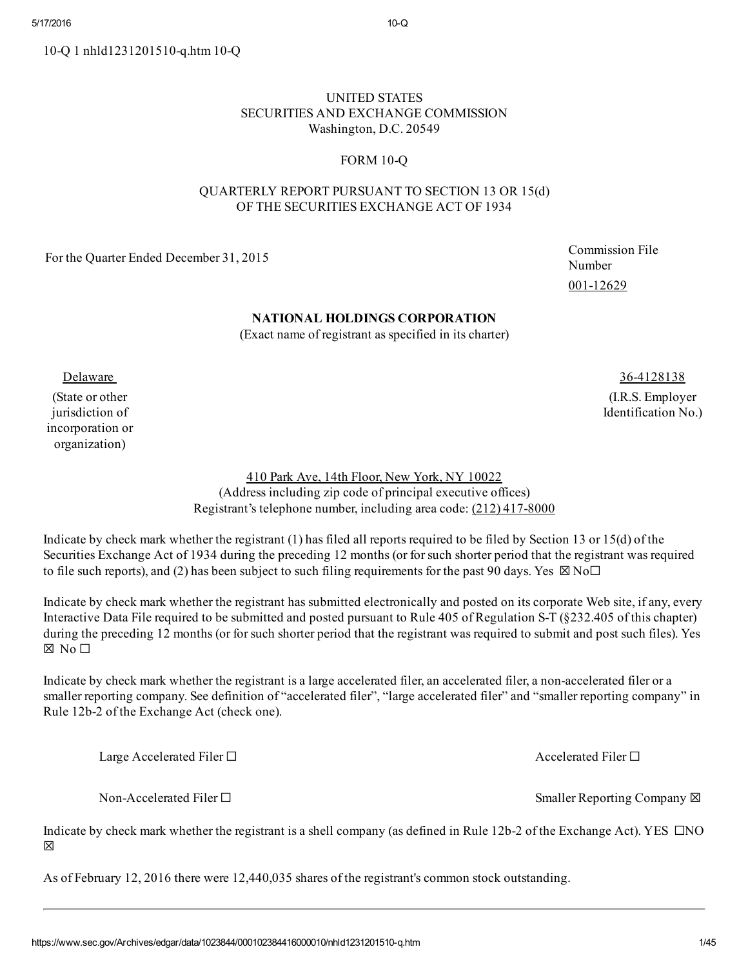# 10-Q 1 nhld1231201510-q.htm 10-Q

# UNITED STATES SECURITIES AND EXCHANGE COMMISSION Washington, D.C. 20549

# FORM 10-Q

#### QUARTERLY REPORT PURSUANT TO SECTION 13 OR 15(d) OF THE SECURITIES EXCHANGE ACT OF 1934

For the Quarter Ended December 31, 2015

Commission File Number 00112629

### NATIONAL HOLDINGS CORPORATION

(Exact name of registrant as specified in its charter)

(State or other jurisdiction of incorporation or organization)

 $D$ elaware  $36-4128138$ 

(I.R.S. Employer Identification No.)

#### 410 Park Ave, 14th Floor, New York, NY 10022 (Address including zip code of principal executive offices) Registrant's telephone number, including area code:  $(212)$  417-8000

Indicate by check mark whether the registrant (1) has filed all reports required to be filed by Section 13 or 15(d) of the Securities Exchange Act of 1934 during the preceding 12 months (or forsuch shorter period that the registrant was required to file such reports), and (2) has been subject to such filing requirements for the past 90 days. Yes  $\boxtimes$  No $\Box$ 

Indicate by check mark whether the registrant has submitted electronically and posted on its corporate Web site, if any, every Interactive Data File required to be submitted and posted pursuant to Rule 405 of Regulation ST (§232.405 of this chapter) during the preceding 12 months (or forsuch shorter period that the registrant was required to submit and post such files). Yes ☒ No ☐

Indicate by check mark whether the registrant is a large accelerated filer, an accelerated filer, a nonaccelerated filer or a smaller reporting company. See definition of "accelerated filer", "large accelerated filer" and "smaller reporting company" in Rule 12b-2 of the Exchange Act (check one).

Large Accelerated Filer □ and Accelerated Filer □

Non-Accelerated Filer □ state state of the state of the Smaller Reporting Company ⊠

Indicate by check mark whether the registrant is a shell company (as defined in Rule 12b-2 of the Exchange Act). YES  $\Box NO$ ☒

As of February 12, 2016 there were 12,440,035 shares of the registrant's common stock outstanding.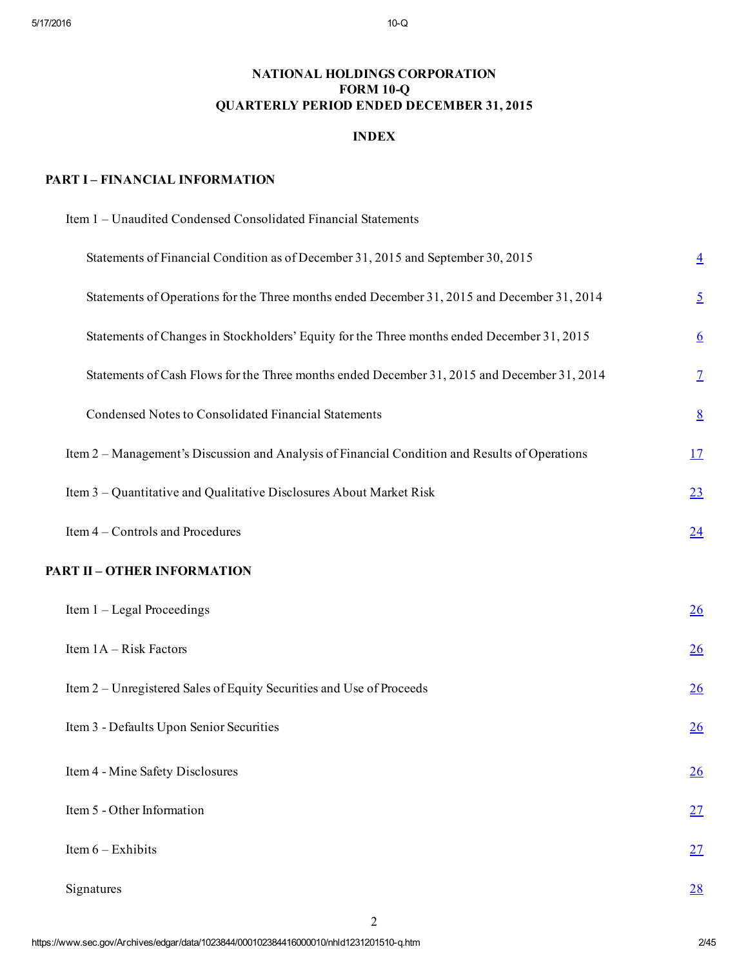# NATIONAL HOLDINGS CORPORATION **FORM 10-Q** QUARTERLY PERIOD ENDED DECEMBER 31, 2015

# INDEX

# PART I – FINANCIAL INFORMATION

| Item 1 - Unaudited Condensed Consolidated Financial Statements                                 |                 |
|------------------------------------------------------------------------------------------------|-----------------|
| Statements of Financial Condition as of December 31, 2015 and September 30, 2015               | $\overline{4}$  |
| Statements of Operations for the Three months ended December 31, 2015 and December 31, 2014    | $\overline{2}$  |
| Statements of Changes in Stockholders' Equity for the Three months ended December 31, 2015     | $6\overline{6}$ |
| Statements of Cash Flows for the Three months ended December 31, 2015 and December 31, 2014    | $\overline{1}$  |
| Condensed Notes to Consolidated Financial Statements                                           | 8               |
| Item 2 – Management's Discussion and Analysis of Financial Condition and Results of Operations | 17              |
| Item 3 - Quantitative and Qualitative Disclosures About Market Risk                            | 23              |
| Item 4 – Controls and Procedures                                                               | 24              |
| <b>PART II - OTHER INFORMATION</b>                                                             |                 |
| Item 1 - Legal Proceedings                                                                     | 26              |
| Item 1A - Risk Factors                                                                         | 26              |
| Item 2 – Unregistered Sales of Equity Securities and Use of Proceeds                           | 26              |
| Item 3 - Defaults Upon Senior Securities                                                       | 26              |
| Item 4 - Mine Safety Disclosures                                                               | 26              |
| Item 5 - Other Information                                                                     | 27              |
| Item $6 -$ Exhibits                                                                            | 27              |
| Signatures                                                                                     | 28              |

2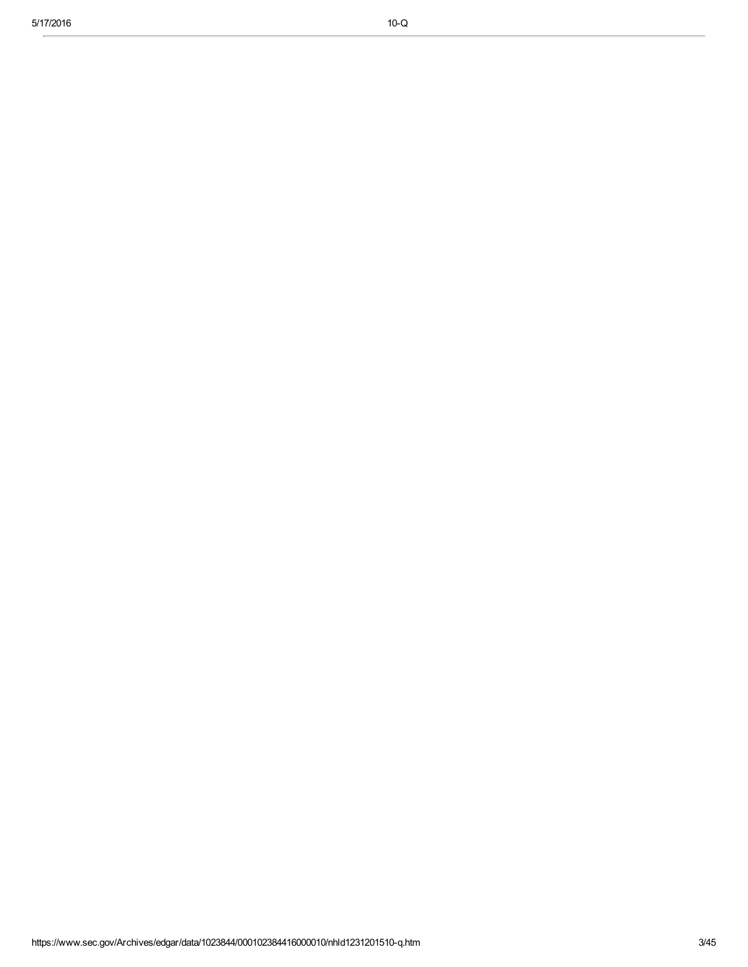https://www.sec.gov/Archives/edgar/data/1023844/000102384416000010/nhld1231201510-q.htm 3/45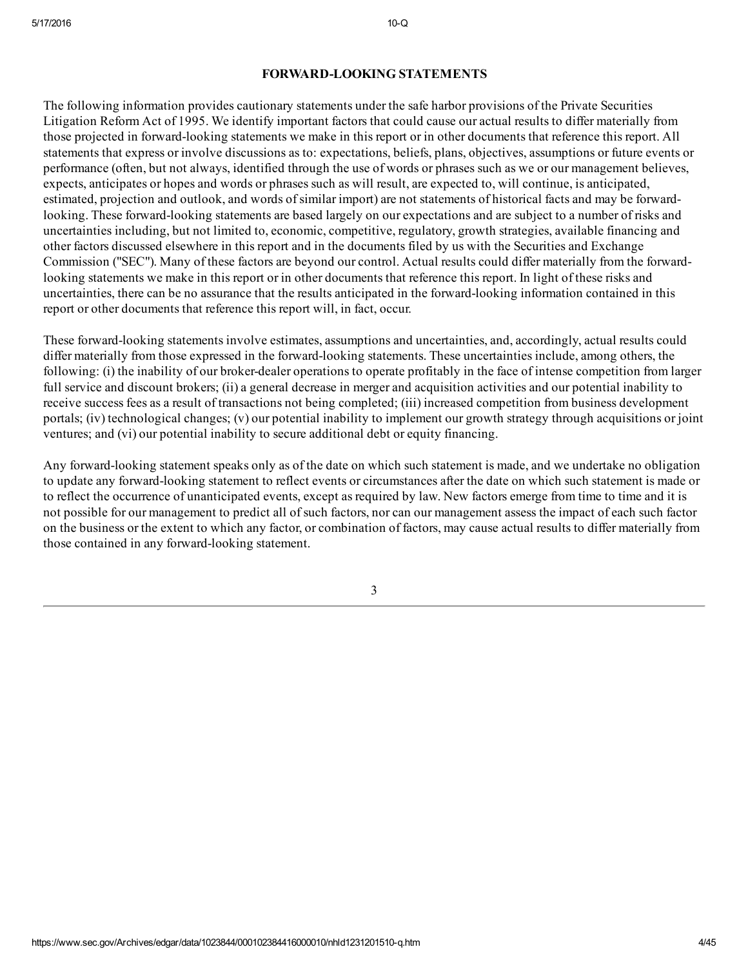# FORWARD-LOOKING STATEMENTS

The following information provides cautionary statements under the safe harbor provisions of the Private Securities Litigation Reform Act of 1995. We identify important factors that could cause our actual results to differ materially from those projected in forward-looking statements we make in this report or in other documents that reference this report. All statements that express or involve discussions as to: expectations, beliefs, plans, objectives, assumptions or future events or performance (often, but not always, identified through the use of words or phrases such as we or our management believes, expects, anticipates or hopes and words or phrases such as will result, are expected to, will continue, is anticipated, estimated, projection and outlook, and words ofsimilar import) are not statements of historical facts and may be forwardlooking. These forward-looking statements are based largely on our expectations and are subject to a number of risks and uncertainties including, but not limited to, economic, competitive, regulatory, growth strategies, available financing and other factors discussed elsewhere in this report and in the documents filed by us with the Securities and Exchange Commission ("SEC"). Many of these factors are beyond our control. Actual results could differ materially from the forwardlooking statements we make in this report or in other documents that reference this report. In light of these risks and uncertainties, there can be no assurance that the results anticipated in the forward-looking information contained in this report or other documents that reference this report will, in fact, occur.

These forward-looking statements involve estimates, assumptions and uncertainties, and, accordingly, actual results could differ materially from those expressed in the forward-looking statements. These uncertainties include, among others, the following: (i) the inability of our broker-dealer operations to operate profitably in the face of intense competition from larger full service and discount brokers; (ii) a general decrease in merger and acquisition activities and our potential inability to receive success fees as a result of transactions not being completed; (iii) increased competition from business development portals; (iv) technological changes; (v) our potential inability to implement our growth strategy through acquisitions or joint ventures; and (vi) our potential inability to secure additional debt or equity financing.

Any forward-looking statement speaks only as of the date on which such statement is made, and we undertake no obligation to update any forward-looking statement to reflect events or circumstances after the date on which such statement is made or to reflect the occurrence of unanticipated events, except as required by law. New factors emerge from time to time and it is not possible for our management to predict all ofsuch factors, nor can our management assess the impact of each such factor on the business or the extent to which any factor, or combination of factors, may cause actual results to differ materially from those contained in any forward-looking statement.

3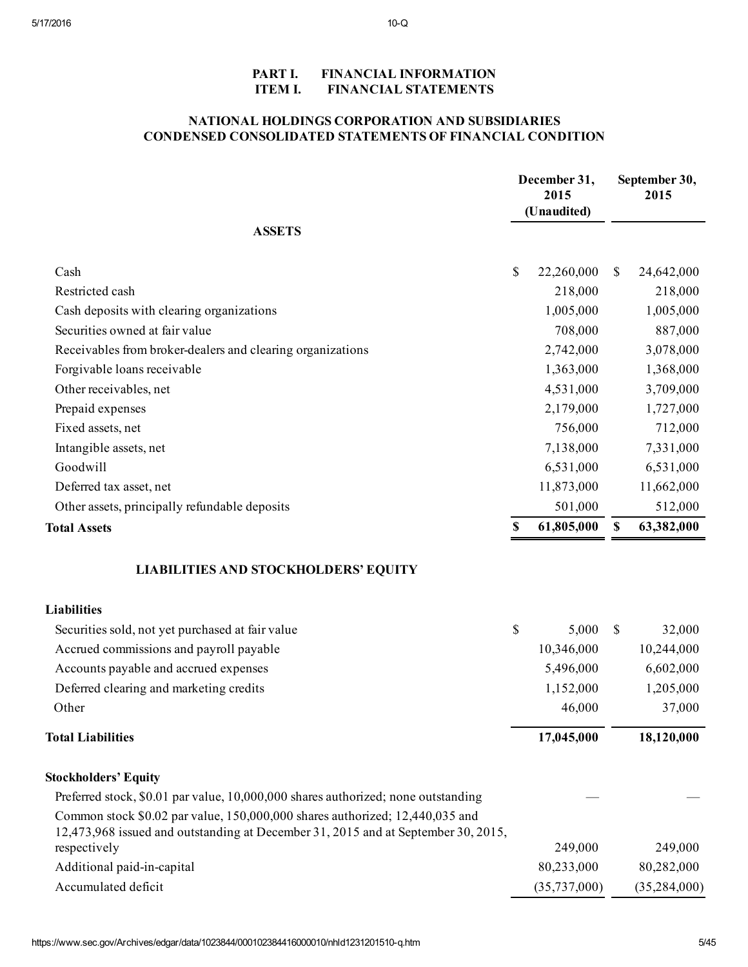# PART I. FINANCIAL INFORMATION<br>ITEM I. FINANCIAL STATEMENTS FINANCIAL STATEMENTS

# NATIONAL HOLDINGS CORPORATION AND SUBSIDIARIES CONDENSED CONSOLIDATED STATEMENTS OF FINANCIAL CONDITION

<span id="page-4-0"></span>

|                                                                                                                                                                   | December 31,<br>2015<br>(Unaudited) |             | September 30,<br>2015 |
|-------------------------------------------------------------------------------------------------------------------------------------------------------------------|-------------------------------------|-------------|-----------------------|
| <b>ASSETS</b>                                                                                                                                                     |                                     |             |                       |
| Cash                                                                                                                                                              | \$<br>22,260,000                    | \$          | 24,642,000            |
| Restricted cash                                                                                                                                                   | 218,000                             |             | 218,000               |
| Cash deposits with clearing organizations                                                                                                                         | 1,005,000                           |             | 1,005,000             |
| Securities owned at fair value                                                                                                                                    | 708,000                             |             | 887,000               |
| Receivables from broker-dealers and clearing organizations                                                                                                        | 2,742,000                           |             | 3,078,000             |
| Forgivable loans receivable                                                                                                                                       | 1,363,000                           |             | 1,368,000             |
| Other receivables, net                                                                                                                                            | 4,531,000                           |             | 3,709,000             |
| Prepaid expenses                                                                                                                                                  | 2,179,000                           |             | 1,727,000             |
| Fixed assets, net                                                                                                                                                 | 756,000                             |             | 712,000               |
| Intangible assets, net                                                                                                                                            | 7,138,000                           |             | 7,331,000             |
| Goodwill                                                                                                                                                          | 6,531,000                           |             | 6,531,000             |
| Deferred tax asset, net                                                                                                                                           | 11,873,000                          |             | 11,662,000            |
| Other assets, principally refundable deposits                                                                                                                     | 501,000                             |             | 512,000               |
| <b>Total Assets</b>                                                                                                                                               | \$<br>61,805,000                    | $\mathbb S$ | 63,382,000            |
| <b>LIABILITIES AND STOCKHOLDERS' EQUITY</b>                                                                                                                       |                                     |             |                       |
| <b>Liabilities</b>                                                                                                                                                |                                     |             |                       |
| Securities sold, not yet purchased at fair value                                                                                                                  | \$<br>5,000                         | \$          | 32,000                |
| Accrued commissions and payroll payable                                                                                                                           | 10,346,000                          |             | 10,244,000            |
| Accounts payable and accrued expenses                                                                                                                             | 5,496,000                           |             | 6,602,000             |
| Deferred clearing and marketing credits                                                                                                                           | 1,152,000                           |             | 1,205,000             |
| Other                                                                                                                                                             | 46,000                              |             | 37,000                |
| <b>Total Liabilities</b>                                                                                                                                          | 17,045,000                          |             | 18,120,000            |
| <b>Stockholders' Equity</b>                                                                                                                                       |                                     |             |                       |
| Preferred stock, \$0.01 par value, 10,000,000 shares authorized; none outstanding                                                                                 |                                     |             |                       |
| Common stock \$0.02 par value, 150,000,000 shares authorized; 12,440,035 and<br>12,473,968 issued and outstanding at December 31, 2015 and at September 30, 2015, |                                     |             |                       |
| respectively                                                                                                                                                      | 249,000                             |             | 249,000               |
| Additional paid-in-capital                                                                                                                                        | 80,233,000                          |             | 80,282,000            |
| Accumulated deficit                                                                                                                                               | (35,737,000)                        |             | (35, 284, 000)        |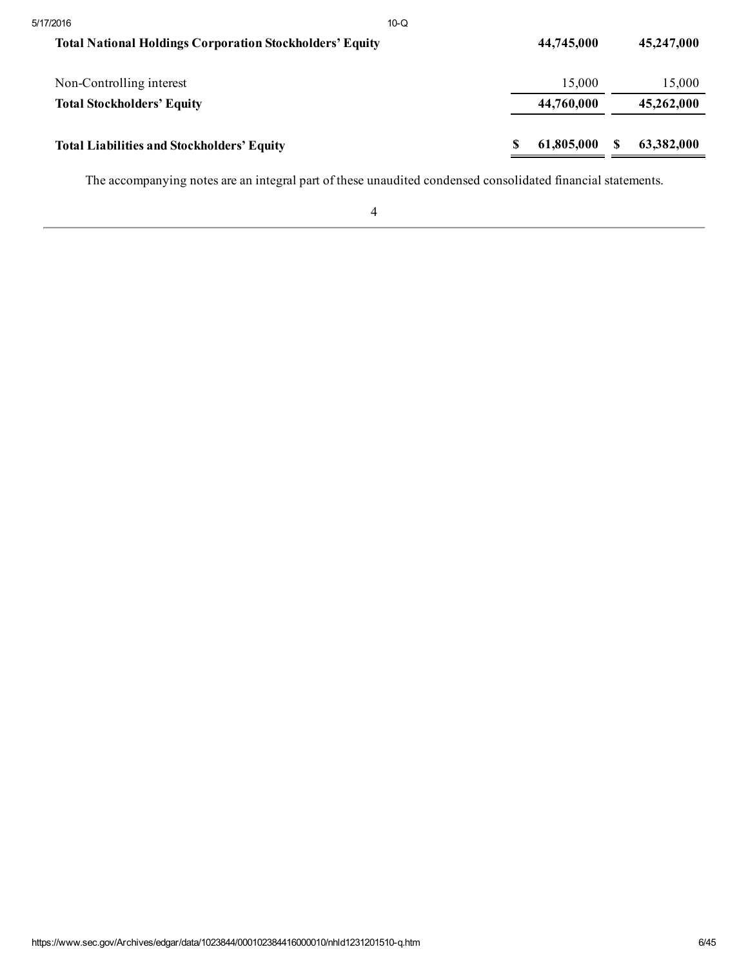| <b>Total Liabilities and Stockholders' Equity</b>               |          | 61,805,000 | S | 63,382,000 |
|-----------------------------------------------------------------|----------|------------|---|------------|
| <b>Total Stockholders' Equity</b>                               |          | 44,760,000 |   | 45,262,000 |
| Non-Controlling interest                                        |          | 15,000     |   | 15,000     |
| <b>Total National Holdings Corporation Stockholders' Equity</b> |          | 44,745,000 |   | 45,247,000 |
| 5/17/2016                                                       | $10 - Q$ |            |   |            |

The accompanying notes are an integral part of these unaudited condensed consolidated financial statements.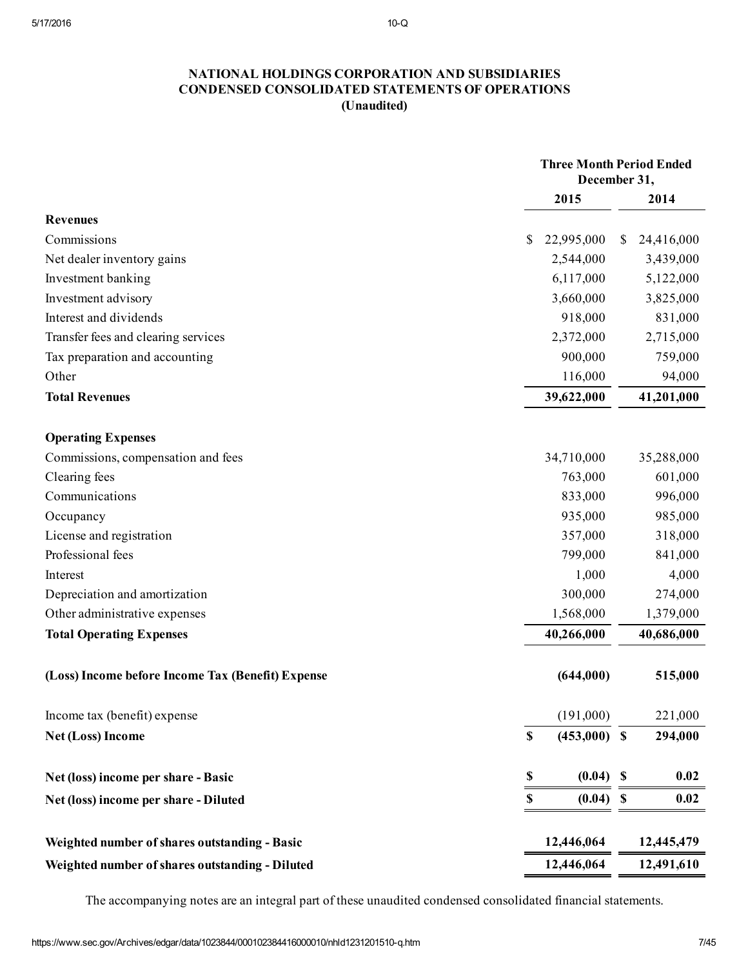# NATIONAL HOLDINGS CORPORATION AND SUBSIDIARIES CONDENSED CONSOLIDATED STATEMENTS OF OPERATIONS (Unaudited)

<span id="page-6-0"></span>

|                                                   | <b>Three Month Period Ended</b><br>December 31, |                |                           |            |  |  |
|---------------------------------------------------|-------------------------------------------------|----------------|---------------------------|------------|--|--|
|                                                   |                                                 | 2015           |                           | 2014       |  |  |
| <b>Revenues</b>                                   |                                                 |                |                           |            |  |  |
| Commissions                                       | \$                                              | 22,995,000     | <sup>S</sup>              | 24,416,000 |  |  |
| Net dealer inventory gains                        |                                                 | 2,544,000      |                           | 3,439,000  |  |  |
| Investment banking                                |                                                 | 6,117,000      |                           | 5,122,000  |  |  |
| Investment advisory                               |                                                 | 3,660,000      |                           | 3,825,000  |  |  |
| Interest and dividends                            |                                                 | 918,000        |                           | 831,000    |  |  |
| Transfer fees and clearing services               |                                                 | 2,372,000      |                           | 2,715,000  |  |  |
| Tax preparation and accounting                    |                                                 | 900,000        |                           | 759,000    |  |  |
| Other                                             |                                                 | 116,000        |                           | 94,000     |  |  |
| <b>Total Revenues</b>                             |                                                 | 39,622,000     |                           | 41,201,000 |  |  |
| <b>Operating Expenses</b>                         |                                                 |                |                           |            |  |  |
| Commissions, compensation and fees                |                                                 | 34,710,000     |                           | 35,288,000 |  |  |
| Clearing fees                                     |                                                 | 763,000        |                           | 601,000    |  |  |
| Communications                                    |                                                 | 833,000        |                           | 996,000    |  |  |
| Occupancy                                         |                                                 | 935,000        |                           | 985,000    |  |  |
| License and registration                          |                                                 | 357,000        |                           | 318,000    |  |  |
| Professional fees                                 |                                                 | 799,000        |                           | 841,000    |  |  |
| Interest                                          |                                                 | 1,000          |                           | 4,000      |  |  |
| Depreciation and amortization                     |                                                 | 300,000        |                           | 274,000    |  |  |
| Other administrative expenses                     |                                                 | 1,568,000      |                           | 1,379,000  |  |  |
| <b>Total Operating Expenses</b>                   |                                                 | 40,266,000     |                           | 40,686,000 |  |  |
| (Loss) Income before Income Tax (Benefit) Expense |                                                 | (644,000)      |                           | 515,000    |  |  |
| Income tax (benefit) expense                      |                                                 | (191,000)      |                           | 221,000    |  |  |
| <b>Net (Loss) Income</b>                          | \$                                              | $(453,000)$ \$ |                           | 294,000    |  |  |
| Net (loss) income per share - Basic               | \$                                              | $(0.04)$ \$    |                           | 0.02       |  |  |
| Net (loss) income per share - Diluted             | \$                                              | (0.04)         | $\boldsymbol{\mathsf{S}}$ | 0.02       |  |  |
| Weighted number of shares outstanding - Basic     |                                                 | 12,446,064     |                           | 12,445,479 |  |  |
| Weighted number of shares outstanding - Diluted   |                                                 | 12,446,064     |                           | 12,491,610 |  |  |
|                                                   |                                                 |                |                           |            |  |  |

The accompanying notes are an integral part of these unaudited condensed consolidated financial statements.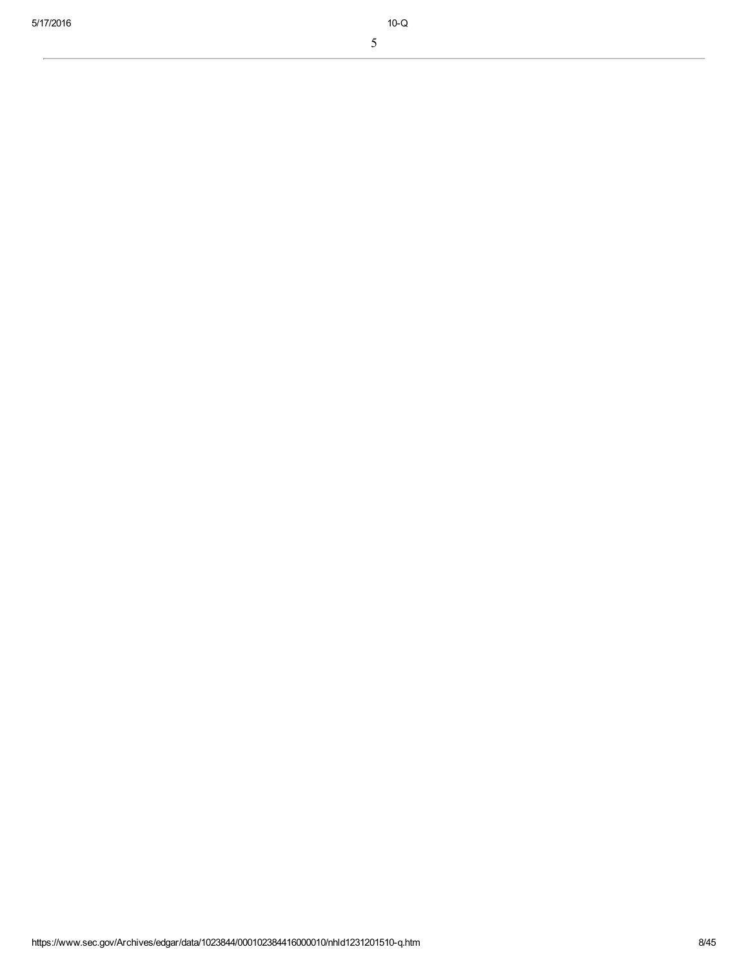https://www.sec.gov/Archives/edgar/data/1023844/000102384416000010/nhld1231201510-q.htm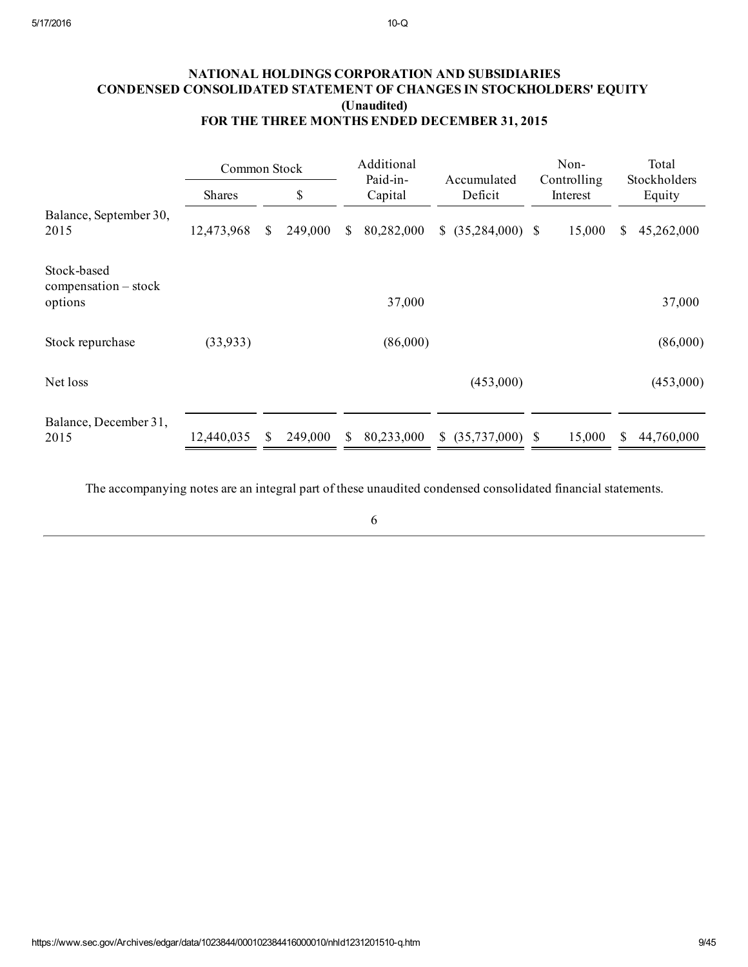## <span id="page-8-0"></span>NATIONAL HOLDINGS CORPORATION AND SUBSIDIARIES CONDENSED CONSOLIDATED STATEMENT OF CHANGES IN STOCKHOLDERS' EQUITY (Unaudited) FOR THE THREE MONTHS ENDED DECEMBER 31, 2015

|                                                  | Common Stock  |    |         | Additional<br>Paid-in- |            |         |                    |          |        |        |            |  |  |  |  |  |  |  |  |  |  | Accumulated | Non-<br>Controlling |  | Total<br>Stockholders |  |
|--------------------------------------------------|---------------|----|---------|------------------------|------------|---------|--------------------|----------|--------|--------|------------|--|--|--|--|--|--|--|--|--|--|-------------|---------------------|--|-----------------------|--|
|                                                  | <b>Shares</b> |    | \$      |                        | Capital    | Deficit |                    | Interest |        | Equity |            |  |  |  |  |  |  |  |  |  |  |             |                     |  |                       |  |
| Balance, September 30,<br>2015                   | 12,473,968    | \$ | 249,000 | \$                     | 80,282,000 |         | \$ (35,284,000) \$ |          | 15,000 | \$     | 45,262,000 |  |  |  |  |  |  |  |  |  |  |             |                     |  |                       |  |
| Stock-based<br>$compensation - stock$<br>options |               |    |         |                        | 37,000     |         |                    |          |        |        | 37,000     |  |  |  |  |  |  |  |  |  |  |             |                     |  |                       |  |
| Stock repurchase                                 | (33,933)      |    |         |                        | (86,000)   |         |                    |          |        |        | (86,000)   |  |  |  |  |  |  |  |  |  |  |             |                     |  |                       |  |
| Net loss                                         |               |    |         |                        |            |         | (453,000)          |          |        |        | (453,000)  |  |  |  |  |  |  |  |  |  |  |             |                     |  |                       |  |
| Balance, December 31,<br>2015                    | 12,440,035    | S  | 249,000 | S.                     | 80,233,000 |         | \$ (35,737,000) \$ |          | 15,000 | S      | 44,760,000 |  |  |  |  |  |  |  |  |  |  |             |                     |  |                       |  |

The accompanying notes are an integral part of these unaudited condensed consolidated financial statements.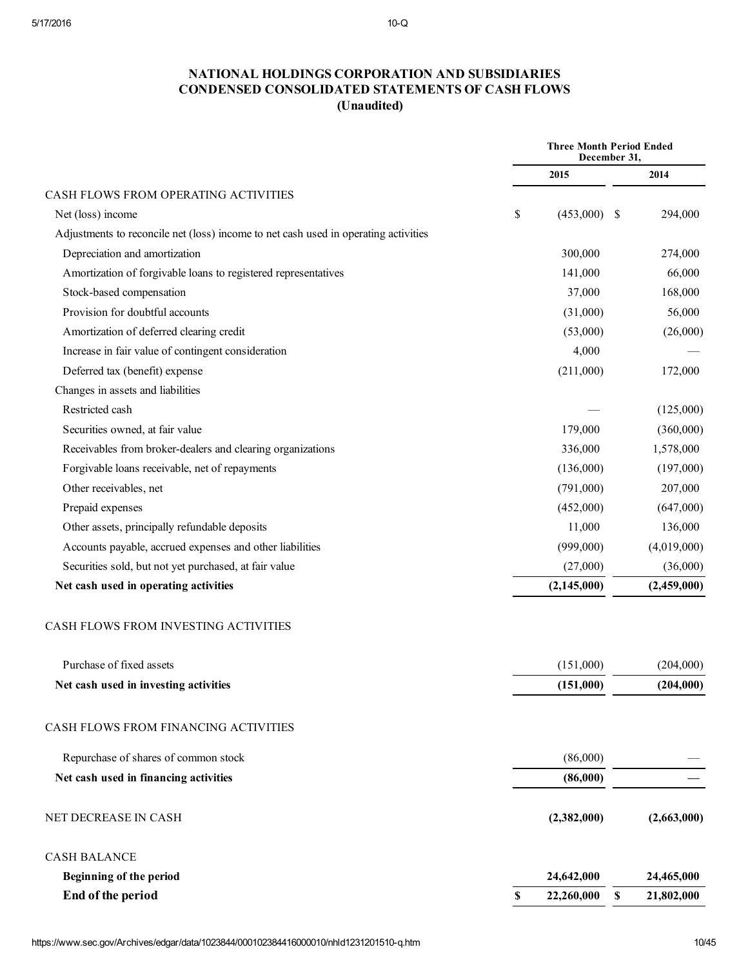# NATIONAL HOLDINGS CORPORATION AND SUBSIDIARIES CONDENSED CONSOLIDATED STATEMENTS OF CASH FLOWS (Unaudited)

<span id="page-9-0"></span>

|                                                                                     | <b>Three Month Period Ended</b><br>December 31, |                  |
|-------------------------------------------------------------------------------------|-------------------------------------------------|------------------|
|                                                                                     | 2015                                            | 2014             |
| CASH FLOWS FROM OPERATING ACTIVITIES                                                |                                                 |                  |
| Net (loss) income                                                                   | \$<br>$(453,000)$ \$                            | 294,000          |
| Adjustments to reconcile net (loss) income to net cash used in operating activities |                                                 |                  |
| Depreciation and amortization                                                       | 300,000                                         | 274,000          |
| Amortization of forgivable loans to registered representatives                      | 141,000                                         | 66,000           |
| Stock-based compensation                                                            | 37,000                                          | 168,000          |
| Provision for doubtful accounts                                                     | (31,000)                                        | 56,000           |
| Amortization of deferred clearing credit                                            | (53,000)                                        | (26,000)         |
| Increase in fair value of contingent consideration                                  | 4,000                                           |                  |
| Deferred tax (benefit) expense                                                      | (211,000)                                       | 172,000          |
| Changes in assets and liabilities                                                   |                                                 |                  |
| Restricted cash                                                                     |                                                 | (125,000)        |
| Securities owned, at fair value                                                     | 179,000                                         | (360,000)        |
| Receivables from broker-dealers and clearing organizations                          | 336,000                                         | 1,578,000        |
| Forgivable loans receivable, net of repayments                                      | (136,000)                                       | (197,000)        |
| Other receivables, net                                                              | (791,000)                                       | 207,000          |
| Prepaid expenses                                                                    | (452,000)                                       | (647,000)        |
| Other assets, principally refundable deposits                                       | 11,000                                          | 136,000          |
| Accounts payable, accrued expenses and other liabilities                            | (999,000)                                       | (4,019,000)      |
| Securities sold, but not yet purchased, at fair value                               | (27,000)                                        | (36,000)         |
| Net cash used in operating activities                                               | (2,145,000)                                     | (2,459,000)      |
| CASH FLOWS FROM INVESTING ACTIVITIES                                                |                                                 |                  |
| Purchase of fixed assets                                                            | (151,000)                                       | (204,000)        |
| Net cash used in investing activities                                               | (151,000)                                       | (204,000)        |
| CASH FLOWS FROM FINANCING ACTIVITIES                                                |                                                 |                  |
| Repurchase of shares of common stock                                                | (86,000)                                        |                  |
| Net cash used in financing activities                                               | (86,000)                                        |                  |
| NET DECREASE IN CASH                                                                | (2,382,000)                                     | (2,663,000)      |
| <b>CASH BALANCE</b>                                                                 |                                                 |                  |
| <b>Beginning of the period</b>                                                      | 24,642,000                                      | 24,465,000       |
| End of the period                                                                   | \$<br>22,260,000                                | \$<br>21,802,000 |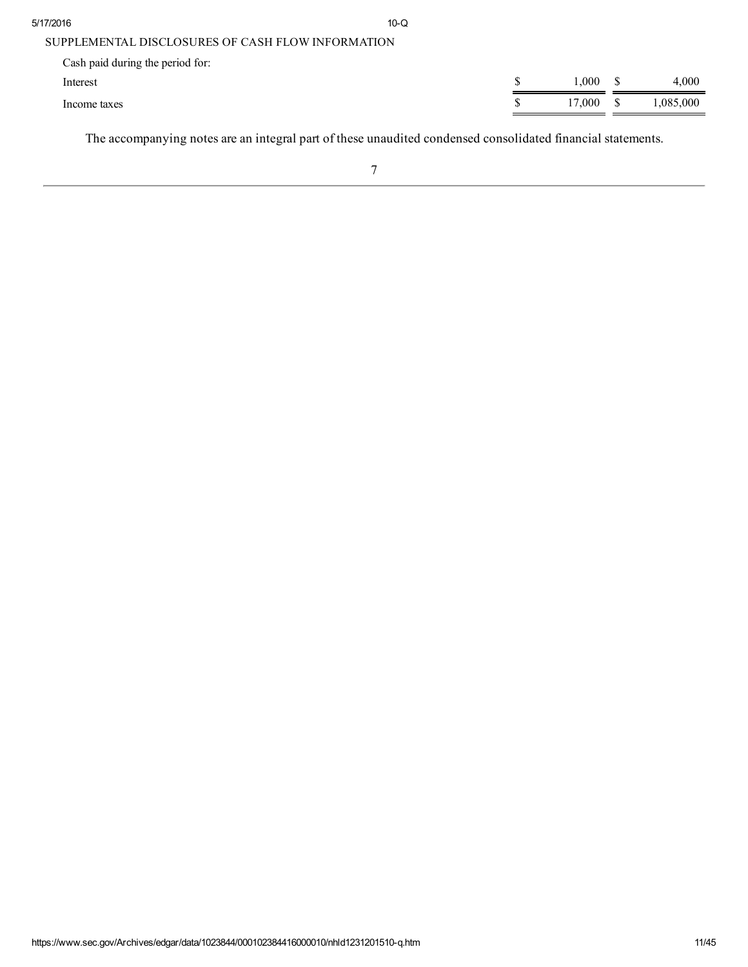| 5/17/2016                                                                                                   | $10 - Q$ |        |           |
|-------------------------------------------------------------------------------------------------------------|----------|--------|-----------|
| SUPPLEMENTAL DISCLOSURES OF CASH FLOW INFORMATION                                                           |          |        |           |
| Cash paid during the period for:                                                                            |          |        |           |
| Interest                                                                                                    |          | 1.000  | 4,000     |
| Income taxes                                                                                                |          | 17.000 | 1.085.000 |
| The accompanying notes are an integral part of these unaudited condensed consolidated financial statements. |          |        |           |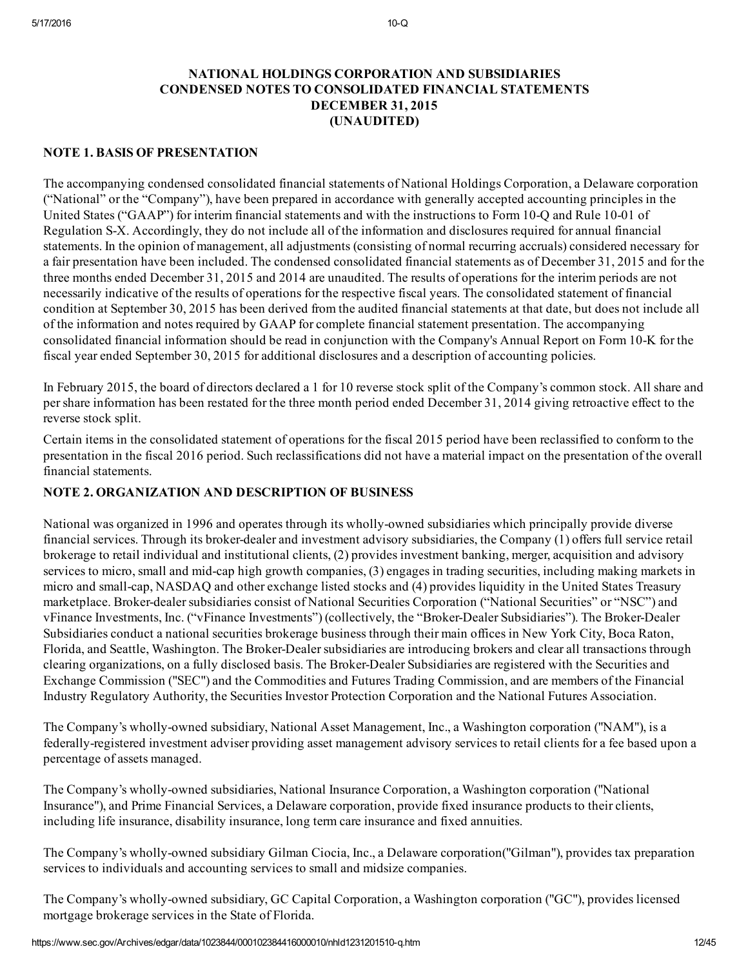# NATIONAL HOLDINGS CORPORATION AND SUBSIDIARIES CONDENSED NOTES TO CONSOLIDATED FINANCIAL STATEMENTS DECEMBER 31, 2015 (UNAUDITED)

### <span id="page-11-0"></span>NOTE 1. BASIS OF PRESENTATION

The accompanying condensed consolidated financial statements of National Holdings Corporation, a Delaware corporation ("National" or the "Company"), have been prepared in accordance with generally accepted accounting principles in the United States ("GAAP") for interim financial statements and with the instructions to Form 10-Q and Rule 10-01 of Regulation SX. Accordingly, they do not include all of the information and disclosures required for annual financial statements. In the opinion of management, all adjustments (consisting of normal recurring accruals) considered necessary for a fair presentation have been included. The condensed consolidated financial statements as of December 31, 2015 and for the three months ended December 31, 2015 and 2014 are unaudited. The results of operations for the interim periods are not necessarily indicative of the results of operations for the respective fiscal years. The consolidated statement of financial condition at September 30, 2015 has been derived from the audited financial statements at that date, but does not include all of the information and notes required by GAAP for complete financial statement presentation. The accompanying consolidated financial information should be read in conjunction with the Company's Annual Report on Form 10-K for the fiscal year ended September 30, 2015 for additional disclosures and a description of accounting policies.

In February 2015, the board of directors declared a 1 for 10 reverse stock split of the Company's common stock. All share and pershare information has been restated for the three month period ended December 31, 2014 giving retroactive effect to the reverse stock split.

Certain items in the consolidated statement of operations for the fiscal 2015 period have been reclassified to conform to the presentation in the fiscal 2016 period. Such reclassifications did not have a material impact on the presentation of the overall financial statements.

# NOTE 2. ORGANIZATION AND DESCRIPTION OF BUSINESS

National was organized in 1996 and operates through its wholly-owned subsidiaries which principally provide diverse financial services. Through its brokerdealer and investment advisory subsidiaries, the Company (1) offers full service retail brokerage to retail individual and institutional clients, (2) provides investment banking, merger, acquisition and advisory services to micro, small and mid-cap high growth companies, (3) engages in trading securities, including making markets in micro and small-cap, NASDAQ and other exchange listed stocks and (4) provides liquidity in the United States Treasury marketplace. Broker-dealer subsidiaries consist of National Securities Corporation ("National Securities" or "NSC") and vFinance Investments, Inc. ("vFinance Investments") (collectively, the "Broker-Dealer Subsidiaries"). The Broker-Dealer Subsidiaries conduct a national securities brokerage business through their main offices in New York City, Boca Raton, Florida, and Seattle, Washington. The Broker-Dealer subsidiaries are introducing brokers and clear all transactions through clearing organizations, on a fully disclosed basis. The Broker-Dealer Subsidiaries are registered with the Securities and Exchange Commission ("SEC") and the Commodities and Futures Trading Commission, and are members of the Financial Industry Regulatory Authority, the Securities Investor Protection Corporation and the National Futures Association.

The Company's wholly-owned subsidiary, National Asset Management, Inc., a Washington corporation ("NAM"), is a federally-registered investment adviser providing asset management advisory services to retail clients for a fee based upon a percentage of assets managed.

The Company's wholly-owned subsidiaries, National Insurance Corporation, a Washington corporation ("National Insurance"), and Prime Financial Services, a Delaware corporation, provide fixed insurance products to their clients, including life insurance, disability insurance, long term care insurance and fixed annuities.

The Company's wholly-owned subsidiary Gilman Ciocia, Inc., a Delaware corporation("Gilman"), provides tax preparation services to individuals and accounting services to small and midsize companies.

The Company's wholly-owned subsidiary, GC Capital Corporation, a Washington corporation ("GC"), provides licensed mortgage brokerage services in the State of Florida.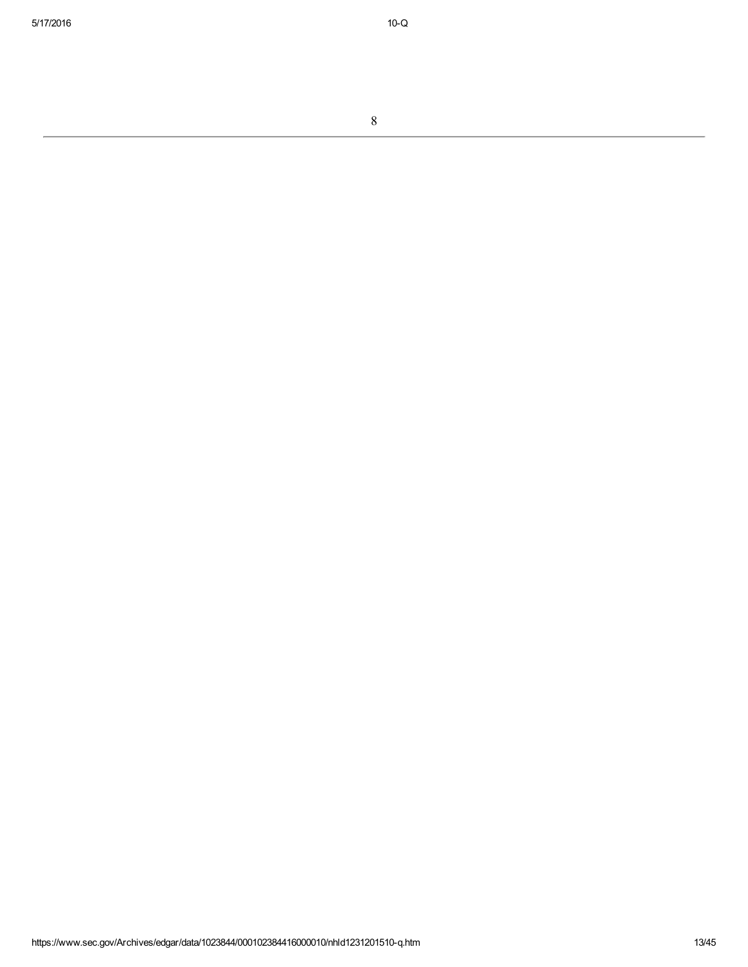5/17/2016 10Q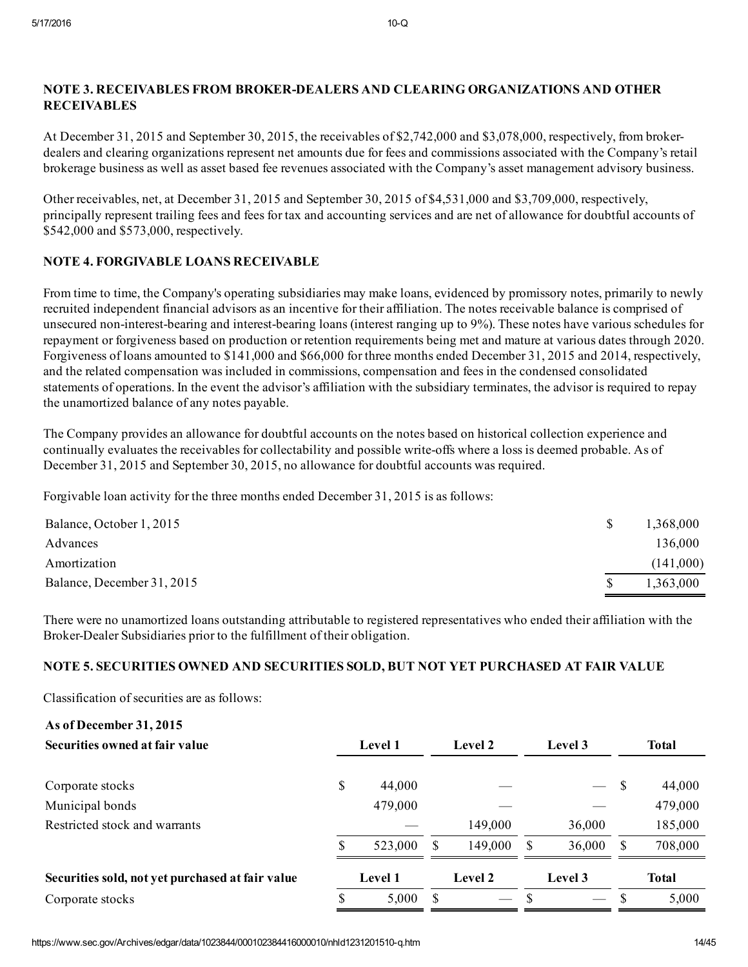# NOTE 3. RECEIVABLES FROM BROKER-DEALERS AND CLEARING ORGANIZATIONS AND OTHER **RECEIVABLES**

At December 31, 2015 and September 30, 2015, the receivables of \$2,742,000 and \$3,078,000, respectively, from brokerdealers and clearing organizations represent net amounts due for fees and commissions associated with the Company's retail brokerage business as well as asset based fee revenues associated with the Company's asset management advisory business.

Other receivables, net, at December 31, 2015 and September 30, 2015 of \$4,531,000 and \$3,709,000, respectively, principally represent trailing fees and fees for tax and accounting services and are net of allowance for doubtful accounts of \$542,000 and \$573,000, respectively.

# NOTE 4. FORGIVABLE LOANS RECEIVABLE

From time to time, the Company's operating subsidiaries may make loans, evidenced by promissory notes, primarily to newly recruited independent financial advisors as an incentive for their affiliation. The notes receivable balance is comprised of unsecured non-interest-bearing and interest-bearing loans (interest ranging up to 9%). These notes have various schedules for repayment or forgiveness based on production or retention requirements being met and mature at various dates through 2020. Forgiveness of loans amounted to \$141,000 and \$66,000 for three months ended December 31, 2015 and 2014, respectively, and the related compensation was included in commissions, compensation and fees in the condensed consolidated statements of operations. In the event the advisor's affiliation with the subsidiary terminates, the advisor is required to repay the unamortized balance of any notes payable.

The Company provides an allowance for doubtful accounts on the notes based on historical collection experience and continually evaluates the receivables for collectability and possible writeoffs where a loss is deemed probable. As of December 31, 2015 and September 30, 2015, no allowance for doubtful accounts was required.

Forgivable loan activity for the three months ended December 31, 2015 is as follows:

| Balance, October 1, 2015   | 1,368,000 |
|----------------------------|-----------|
| Advances                   | 136,000   |
| Amortization               | (141,000) |
| Balance, December 31, 2015 | 1,363,000 |

There were no unamortized loans outstanding attributable to registered representatives who ended their affiliation with the Broker-Dealer Subsidiaries prior to the fulfillment of their obligation.

# NOTE 5. SECURITIES OWNED AND SECURITIES SOLD, BUT NOT YET PURCHASED AT FAIR VALUE

Classification of securities are as follows:

| Level 1 |         | Level 2 |                | Level 3 |                               | <b>Total</b> |              |  |
|---------|---------|---------|----------------|---------|-------------------------------|--------------|--------------|--|
| \$      | 44,000  |         |                |         | $\overline{\phantom{0}}$      | S            | 44,000       |  |
|         | 479,000 |         |                |         |                               |              | 479,000      |  |
|         |         |         | 149,000        |         | 36,000                        |              | 185,000      |  |
|         | 523,000 |         | 149,000        |         | 36,000                        |              | 708,000      |  |
|         | Level 1 |         | <b>Level 2</b> |         | Level 3                       |              | <b>Total</b> |  |
|         | 5,000   | - \$    |                | -\$     | $\overbrace{\phantom{aaaaa}}$ |              | 5,000        |  |
|         |         |         |                |         |                               |              | - \$         |  |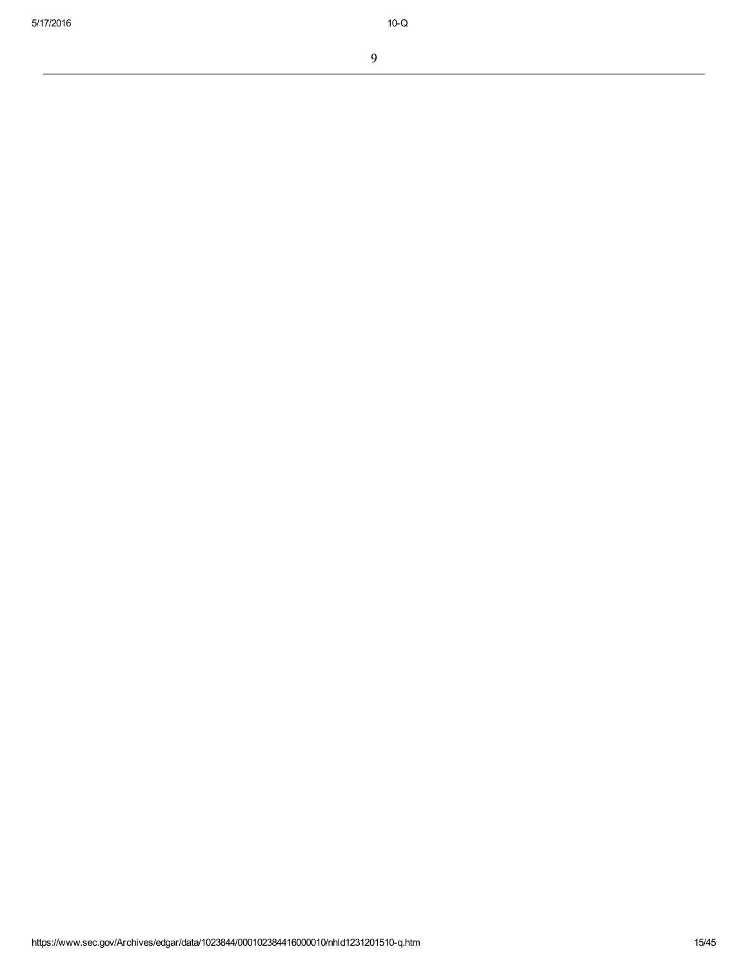9

https://www.sec.gov/Archives/edgar/data/1023844/000102384416000010/nhld1231201510-q.htm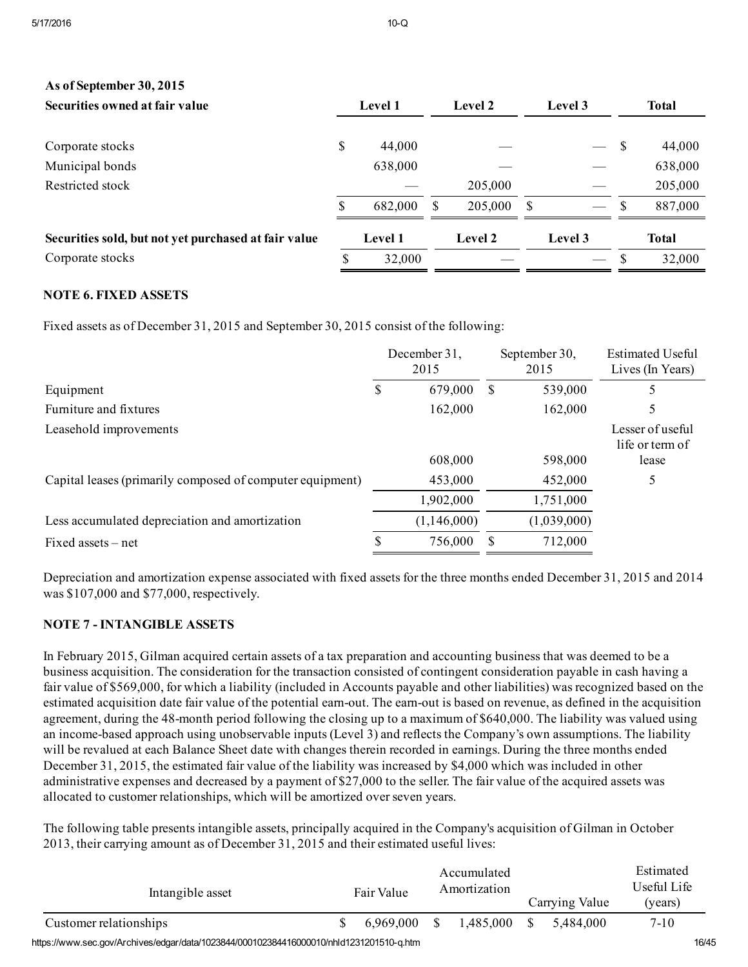# As of September 30, 2015

| Securities owned at fair value                       | <b>Level 1</b> |                | <b>Level 2</b> |                |   | Level 3                        |  | <b>Total</b> |  |
|------------------------------------------------------|----------------|----------------|----------------|----------------|---|--------------------------------|--|--------------|--|
| Corporate stocks                                     | \$             | 44,000         |                |                |   |                                |  | 44,000       |  |
| Municipal bonds                                      |                | 638,000        |                |                |   |                                |  | 638,000      |  |
| Restricted stock                                     |                |                |                | 205,000        |   |                                |  | 205,000      |  |
|                                                      |                | 682,000        | S              | 205,000        | S | $\overbrace{\hspace{25mm}}^{}$ |  | 887,000      |  |
| Securities sold, but not yet purchased at fair value |                | <b>Level 1</b> |                | <b>Level 2</b> |   | Level 3                        |  | <b>Total</b> |  |
| Corporate stocks                                     |                | 32,000         |                |                |   |                                |  | 32,000       |  |

# NOTE 6. FIXED ASSETS

Fixed assets as of December 31, 2015 and September 30, 2015 consist of the following:

|                                                           |   | December 31,<br>2015 |   | September 30,<br>2015 | <b>Estimated Useful</b><br>Lives (In Years) |  |  |
|-----------------------------------------------------------|---|----------------------|---|-----------------------|---------------------------------------------|--|--|
| Equipment                                                 | S | 679,000              | S | 539,000               | 5                                           |  |  |
| Furniture and fixtures                                    |   | 162,000              |   | 162,000               |                                             |  |  |
| Leasehold improvements                                    |   |                      |   |                       | Lesser of useful<br>life or term of         |  |  |
|                                                           |   | 608,000              |   | 598,000               | lease                                       |  |  |
| Capital leases (primarily composed of computer equipment) |   | 453,000              |   | 452,000               | 5                                           |  |  |
|                                                           |   | 1,902,000            |   | 1,751,000             |                                             |  |  |
| Less accumulated depreciation and amortization            |   | (1,146,000)          |   | (1,039,000)           |                                             |  |  |
| Fixed assets $-$ net                                      |   | 756,000              |   | 712,000               |                                             |  |  |

Depreciation and amortization expense associated with fixed assets for the three months ended December 31, 2015 and 2014 was \$107,000 and \$77,000, respectively.

# **NOTE 7 - INTANGIBLE ASSETS**

In February 2015, Gilman acquired certain assets of a tax preparation and accounting business that was deemed to be a business acquisition. The consideration for the transaction consisted of contingent consideration payable in cash having a fair value of \$569,000, for which a liability (included in Accounts payable and other liabilities) was recognized based on the estimated acquisition date fair value of the potential earn-out. The earn-out is based on revenue, as defined in the acquisition agreement, during the 48-month period following the closing up to a maximum of \$640,000. The liability was valued using an income-based approach using unobservable inputs (Level 3) and reflects the Company's own assumptions. The liability will be revalued at each Balance Sheet date with changes therein recorded in earnings. During the three months ended December 31, 2015, the estimated fair value of the liability was increased by \$4,000 which was included in other administrative expenses and decreased by a payment of \$27,000 to the seller. The fair value of the acquired assets was allocated to customer relationships, which will be amortized over seven years.

The following table presents intangible assets, principally acquired in the Company's acquisition of Gilman in October 2013, their carrying amount as of December 31, 2015 and their estimated useful lives:

| Intangible asset       | Fair Value |    | Accumulated<br>Amortization |    | Carrying Value | Estimated<br>Useful Life<br>(years) |
|------------------------|------------|----|-----------------------------|----|----------------|-------------------------------------|
| Customer relationships | 6.969.000  | -S | 1,485,000                   | -S | 5.484.000      | $7-10$                              |

https://www.sec.gov/Archives/edgar/data/1023844/000102384416000010/nhld1231201510-g.htm 16/45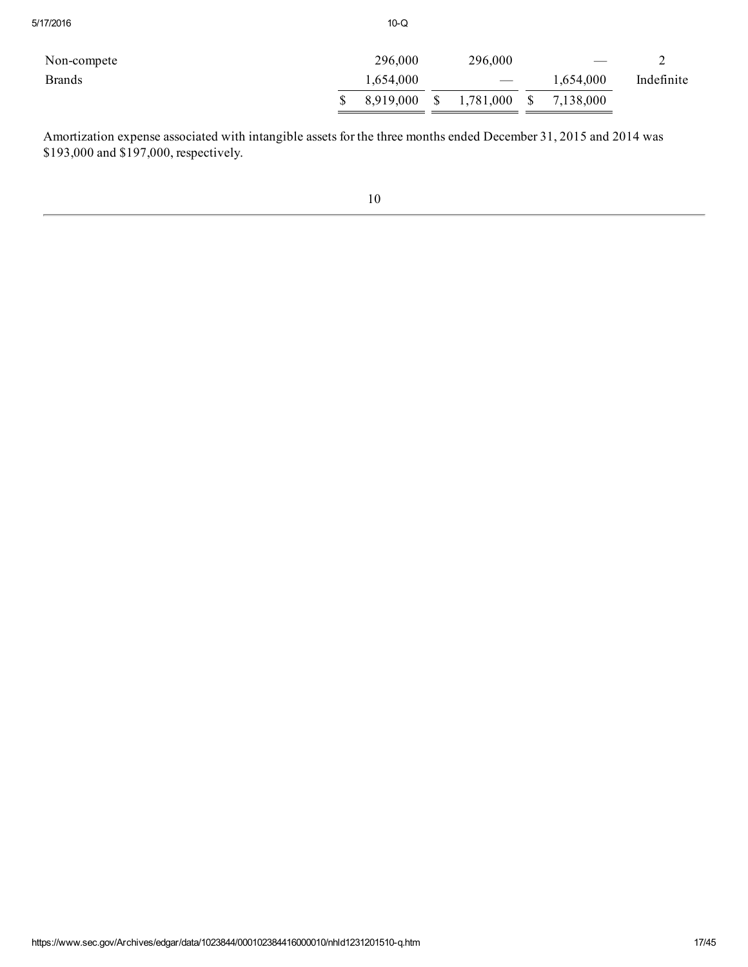| 5/17/2016     | $10 - Q$  |                 |                                 |           |            |
|---------------|-----------|-----------------|---------------------------------|-----------|------------|
| Non-compete   | 296,000   |                 | 296,000                         |           |            |
| <b>Brands</b> | 1,654,000 |                 | $\hspace{0.1mm}-\hspace{0.1mm}$ | 1,654,000 | Indefinite |
|               | 8,919,000 | \$<br>1,781,000 | $\mathbb{S}$                    | 7,138,000 |            |
|               |           |                 |                                 |           |            |

Amortization expense associated with intangible assets for the three months ended December 31, 2015 and 2014 was \$193,000 and \$197,000, respectively.

# 10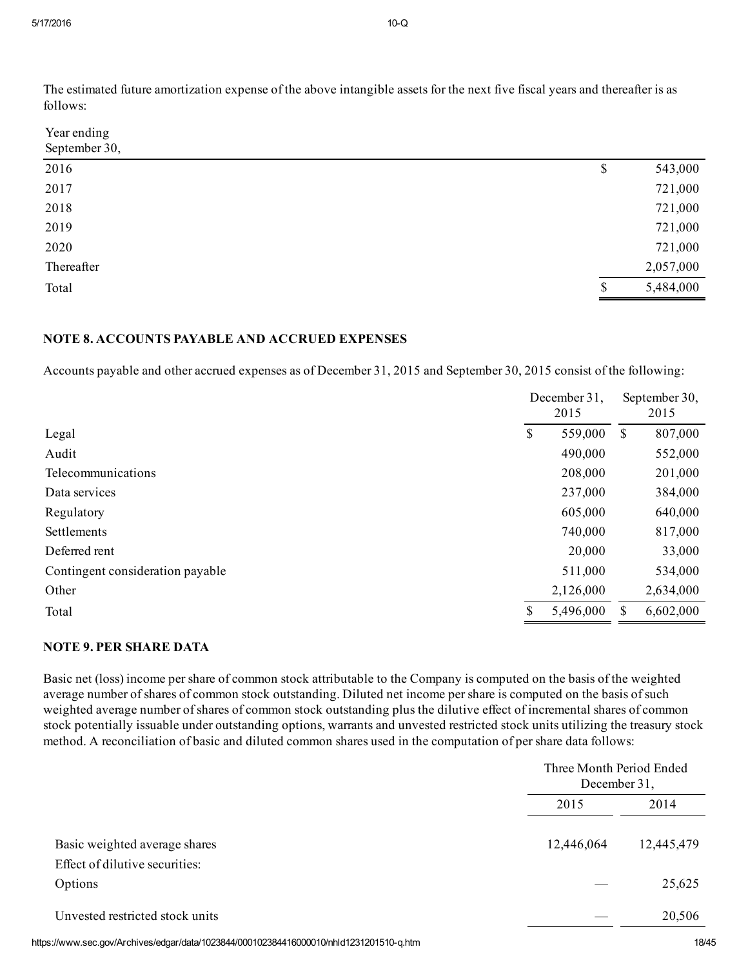| Year ending<br>September 30, |                 |         |
|------------------------------|-----------------|---------|
| 2016                         | \$              | 543,000 |
| 2017                         |                 | 721,000 |
| 2018                         |                 | 721,000 |
| 2019                         |                 | 721,000 |
| 2020                         |                 | 721,000 |
| Thereafter                   | 2,057,000       |         |
| Total                        | 5,484,000<br>\$ |         |

The estimated future amortization expense of the above intangible assets for the next five fiscal years and thereafter is as follows:

# NOTE 8. ACCOUNTS PAYABLE AND ACCRUED EXPENSES

Accounts payable and other accrued expenses as of December 31, 2015 and September 30, 2015 consist of the following:

|                                  | December 31,<br>2015 |           | September 30,<br>2015 |           |
|----------------------------------|----------------------|-----------|-----------------------|-----------|
| Legal                            | \$                   | 559,000   | \$                    | 807,000   |
| Audit                            |                      | 490,000   |                       | 552,000   |
| Telecommunications               |                      | 208,000   |                       | 201,000   |
| Data services                    |                      | 237,000   |                       | 384,000   |
| Regulatory                       |                      | 605,000   |                       | 640,000   |
| Settlements                      |                      | 740,000   |                       | 817,000   |
| Deferred rent                    |                      | 20,000    |                       | 33,000    |
| Contingent consideration payable |                      | 511,000   |                       | 534,000   |
| Other                            |                      | 2,126,000 |                       | 2,634,000 |
| Total                            |                      | 5,496,000 |                       | 6,602,000 |

# NOTE 9. PER SHARE DATA

Basic net (loss) income pershare of common stock attributable to the Company is computed on the basis of the weighted average number of shares of common stock outstanding. Diluted net income per share is computed on the basis of such weighted average number of shares of common stock outstanding plus the dilutive effect of incremental shares of common stock potentially issuable under outstanding options, warrants and unvested restricted stock units utilizing the treasury stock method. A reconciliation of basic and diluted common shares used in the computation of pershare data follows:

|                                                                 | Three Month Period Ended<br>December 31, |            |
|-----------------------------------------------------------------|------------------------------------------|------------|
|                                                                 | 2015                                     | 2014       |
| Basic weighted average shares<br>Effect of dilutive securities: | 12,446,064                               | 12,445,479 |
| Options                                                         |                                          | 25,625     |
| Unvested restricted stock units                                 |                                          | 20,506     |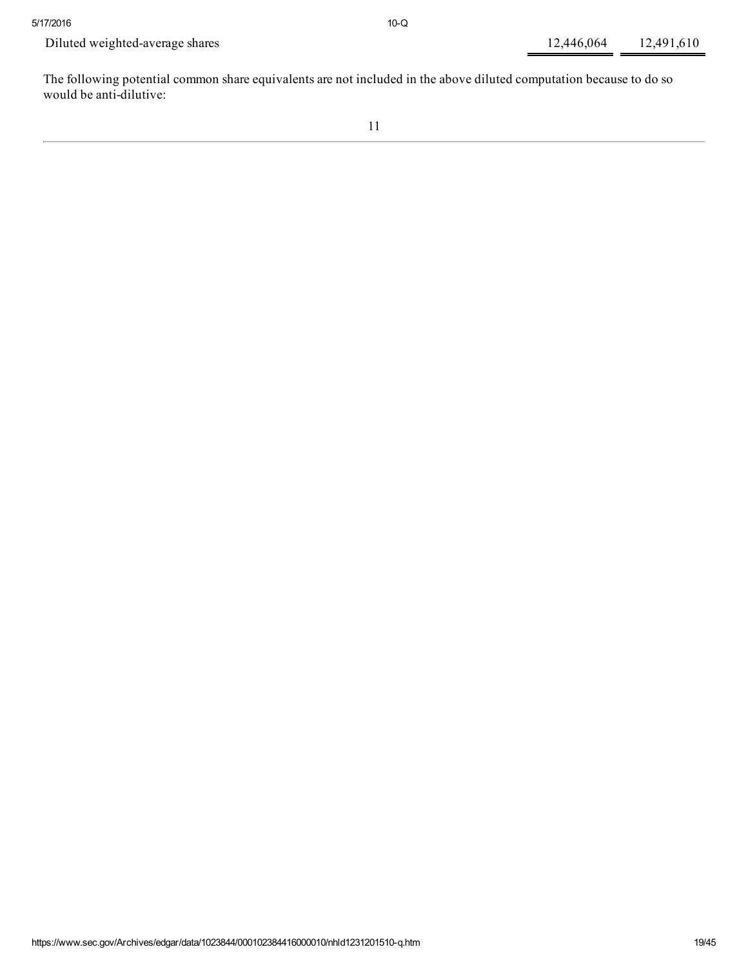The following potential common share equivalents are not included in the above diluted computation because to do so would be anti-dilutive: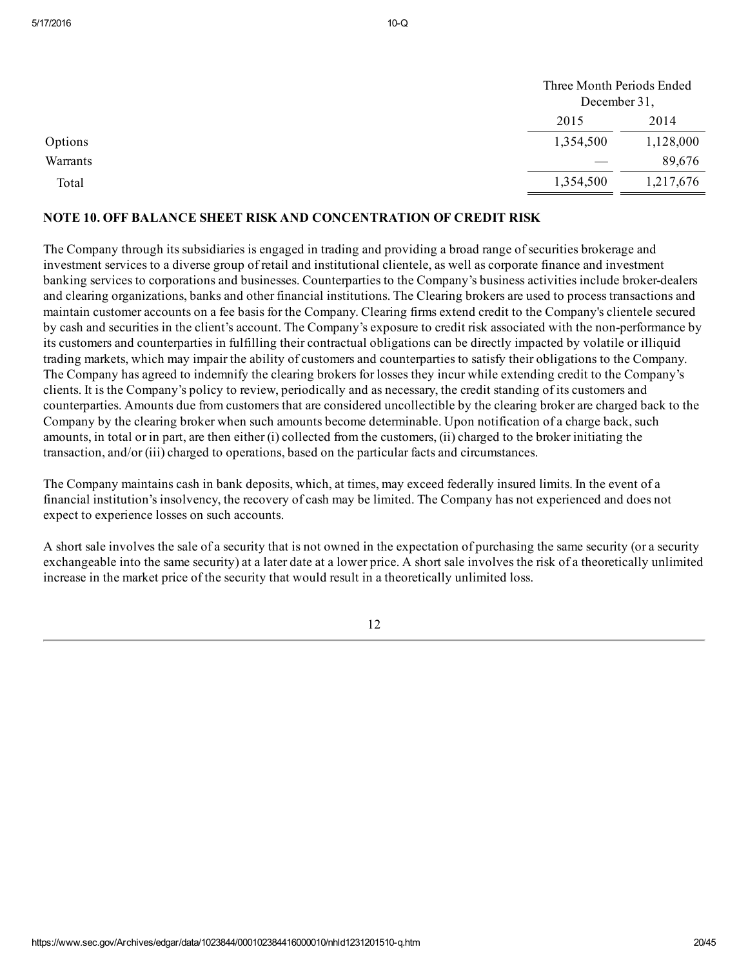| 5/17/2016 | $10 - Q$ |
|-----------|----------|
|           |          |

|          | Three Month Periods Ended<br>December 31, |           |
|----------|-------------------------------------------|-----------|
|          | 2015                                      | 2014      |
| Options  | 1,354,500                                 | 1,128,000 |
| Warrants |                                           | 89,676    |
| Total    | 1,354,500                                 | 1,217,676 |

# NOTE 10. OFF BALANCE SHEET RISK AND CONCENTRATION OF CREDIT RISK

The Company through its subsidiaries is engaged in trading and providing a broad range ofsecurities brokerage and investment services to a diverse group of retail and institutional clientele, as well as corporate finance and investment banking services to corporations and businesses. Counterparties to the Company's business activities include broker-dealers and clearing organizations, banks and other financial institutions. The Clearing brokers are used to process transactions and maintain customer accounts on a fee basis for the Company. Clearing firms extend credit to the Company's clientele secured by cash and securities in the client's account. The Company's exposure to credit risk associated with the non-performance by its customers and counterparties in fulfilling their contractual obligations can be directly impacted by volatile or illiquid trading markets, which may impair the ability of customers and counterparties to satisfy their obligations to the Company. The Company has agreed to indemnify the clearing brokers for losses they incur while extending credit to the Company's clients. It is the Company's policy to review, periodically and as necessary, the credit standing of its customers and counterparties. Amounts due from customers that are considered uncollectible by the clearing broker are charged back to the Company by the clearing broker when such amounts become determinable. Upon notification of a charge back, such amounts, in total or in part, are then either (i) collected from the customers, (ii) charged to the broker initiating the transaction, and/or (iii) charged to operations, based on the particular facts and circumstances.

The Company maintains cash in bank deposits, which, at times, may exceed federally insured limits. In the event of a financial institution's insolvency, the recovery of cash may be limited. The Company has not experienced and does not expect to experience losses on such accounts.

A short sale involves the sale of a security that is not owned in the expectation of purchasing the same security (or a security exchangeable into the same security) at a later date at a lower price. A short sale involves the risk of a theoretically unlimited increase in the market price of the security that would result in a theoretically unlimited loss.

12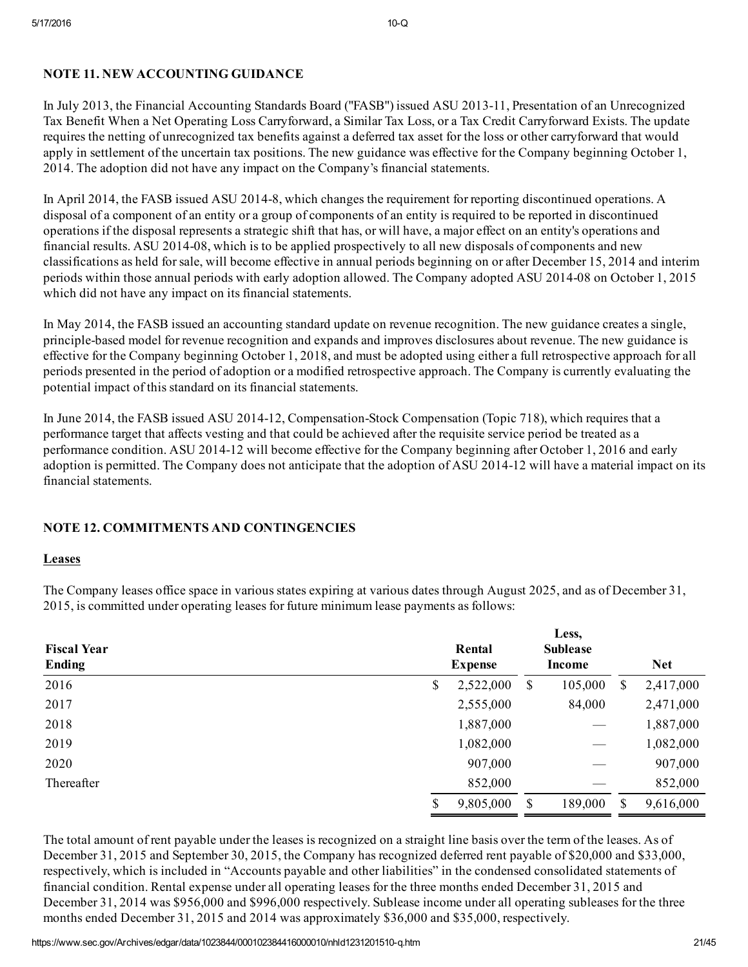# NOTE 11. NEW ACCOUNTING GUIDANCE

In July 2013, the Financial Accounting Standards Board ("FASB") issued ASU 201311, Presentation of an Unrecognized Tax Benefit When a Net Operating Loss Carryforward, a Similar Tax Loss, or a Tax Credit Carryforward Exists. The update requires the netting of unrecognized tax benefits against a deferred tax asset for the loss or other carryforward that would apply in settlement of the uncertain tax positions. The new guidance was effective for the Company beginning October 1, 2014. The adoption did not have any impact on the Company's financial statements.

In April 2014, the FASB issued ASU 2014-8, which changes the requirement for reporting discontinued operations. A disposal of a component of an entity or a group of components of an entity is required to be reported in discontinued operations if the disposal represents a strategic shift that has, or will have, a major effect on an entity's operations and financial results. ASU 201408, which is to be applied prospectively to all new disposals of components and new classifications as held forsale, will become effective in annual periods beginning on or after December 15, 2014 and interim periods within those annual periods with early adoption allowed. The Company adopted ASU 201408 on October 1, 2015 which did not have any impact on its financial statements.

In May 2014, the FASB issued an accounting standard update on revenue recognition. The new guidance creates a single, principlebased model for revenue recognition and expands and improves disclosures about revenue. The new guidance is effective for the Company beginning October 1, 2018, and must be adopted using either a full retrospective approach for all periods presented in the period of adoption or a modified retrospective approach. The Company is currently evaluating the potential impact of this standard on its financial statements.

In June 2014, the FASB issued ASU 2014-12, Compensation-Stock Compensation (Topic 718), which requires that a performance target that affects vesting and that could be achieved after the requisite service period be treated as a performance condition. ASU 2014-12 will become effective for the Company beginning after October 1, 2016 and early adoption is permitted. The Company does not anticipate that the adoption of ASU 2014-12 will have a material impact on its financial statements.

# NOTE 12. COMMITMENTS AND CONTINGENCIES

#### Leases

The Company leases office space in various states expiring at various dates through August 2025, and as of December 31, 2015, is committed under operating leases for future minimum lease payments as follows:

| <b>Fiscal Year</b> | Rental          | Less,<br><b>Sublease</b> |            |           |  |
|--------------------|-----------------|--------------------------|------------|-----------|--|
| <b>Ending</b>      | <b>Expense</b>  | Income                   | <b>Net</b> |           |  |
| 2016               | \$<br>2,522,000 | \$<br>105,000            | \$         | 2,417,000 |  |
| 2017               | 2,555,000       | 84,000                   |            | 2,471,000 |  |
| 2018               | 1,887,000       |                          |            | 1,887,000 |  |
| 2019               | 1,082,000       |                          |            | 1,082,000 |  |
| 2020               | 907,000         |                          |            | 907,000   |  |
| Thereafter         | 852,000         |                          |            | 852,000   |  |
|                    | \$<br>9,805,000 | \$<br>189,000            | \$         | 9,616,000 |  |

The total amount of rent payable under the leases is recognized on a straight line basis over the term of the leases. As of December 31, 2015 and September 30, 2015, the Company has recognized deferred rent payable of \$20,000 and \$33,000, respectively, which is included in "Accounts payable and other liabilities" in the condensed consolidated statements of financial condition. Rental expense under all operating leases for the three months ended December 31, 2015 and December 31, 2014 was \$956,000 and \$996,000 respectively. Sublease income under all operating subleases for the three months ended December 31, 2015 and 2014 was approximately \$36,000 and \$35,000, respectively.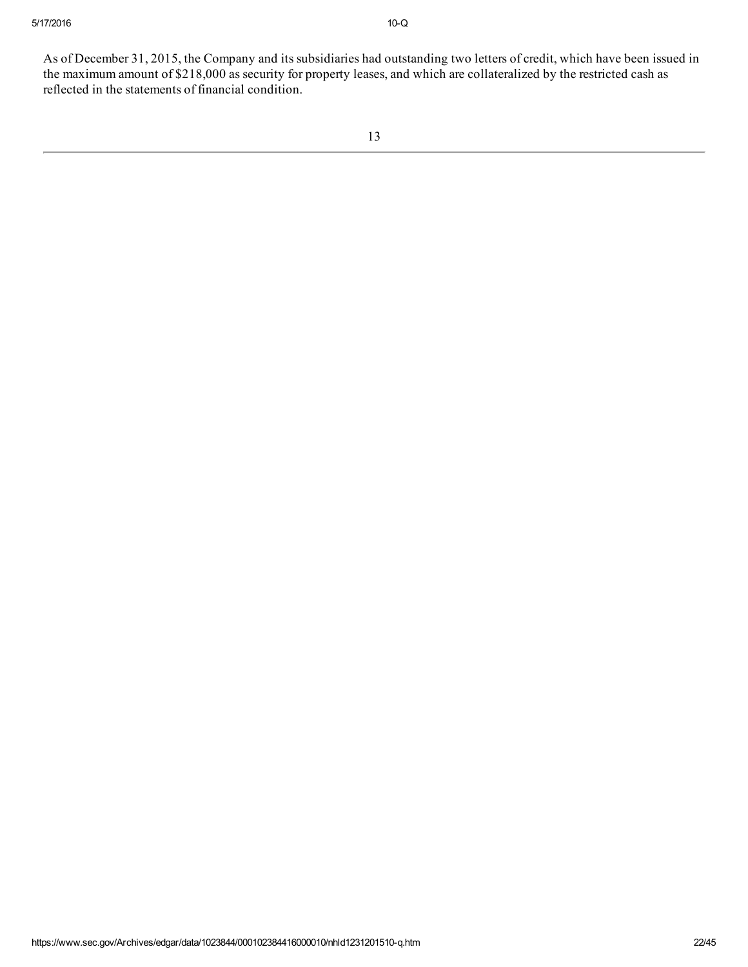As of December 31, 2015, the Company and its subsidiaries had outstanding two letters of credit, which have been issued in the maximum amount of \$218,000 as security for property leases, and which are collateralized by the restricted cash as reflected in the statements of financial condition.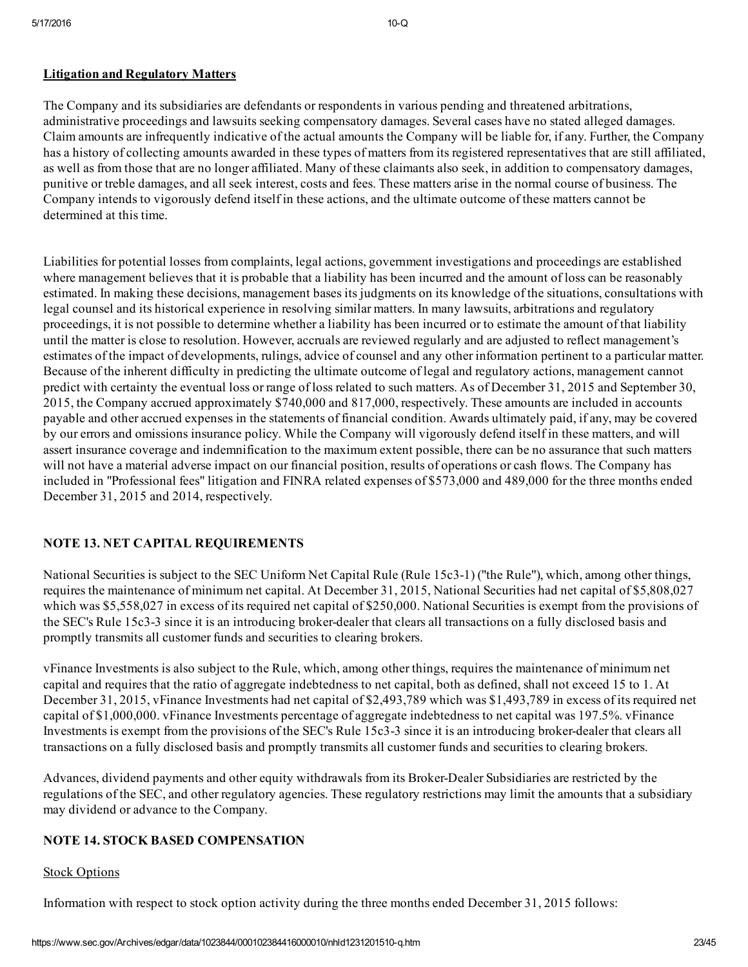# Litigation and Regulatory Matters

The Company and its subsidiaries are defendants or respondents in various pending and threatened arbitrations, administrative proceedings and lawsuits seeking compensatory damages. Several cases have no stated alleged damages. Claim amounts are infrequently indicative of the actual amounts the Company will be liable for, if any. Further, the Company has a history of collecting amounts awarded in these types of matters from its registered representatives that are still affiliated, as well as from those that are no longer affiliated. Many of these claimants also seek, in addition to compensatory damages, punitive or treble damages, and all seek interest, costs and fees. These matters arise in the normal course of business. The Company intends to vigorously defend itself in these actions, and the ultimate outcome of these matters cannot be determined at this time.

Liabilities for potential losses from complaints, legal actions, government investigations and proceedings are established where management believes that it is probable that a liability has been incurred and the amount of loss can be reasonably estimated. In making these decisions, management bases its judgments on its knowledge of the situations, consultations with legal counsel and its historical experience in resolving similar matters. In many lawsuits, arbitrations and regulatory proceedings, it is not possible to determine whether a liability has been incurred or to estimate the amount of that liability until the matter is close to resolution. However, accruals are reviewed regularly and are adjusted to reflect management's estimates of the impact of developments, rulings, advice of counsel and any other information pertinent to a particular matter. Because of the inherent difficulty in predicting the ultimate outcome of legal and regulatory actions, management cannot predict with certainty the eventual loss or range of loss related to such matters. As of December 31, 2015 and September 30, 2015, the Company accrued approximately \$740,000 and 817,000, respectively. These amounts are included in accounts payable and other accrued expenses in the statements of financial condition. Awards ultimately paid, if any, may be covered by our errors and omissions insurance policy. While the Company will vigorously defend itself in these matters, and will assert insurance coverage and indemnification to the maximum extent possible, there can be no assurance that such matters will not have a material adverse impact on our financial position, results of operations or cash flows. The Company has included in "Professional fees" litigation and FINRA related expenses of \$573,000 and 489,000 for the three months ended December 31, 2015 and 2014, respectively.

# NOTE 13. NET CAPITAL REQUIREMENTS

National Securities is subject to the SEC Uniform Net Capital Rule (Rule 15c31) ("the Rule"), which, among other things, requires the maintenance of minimum net capital. At December 31, 2015, National Securities had net capital of \$5,808,027 which was \$5,558,027 in excess of its required net capital of \$250,000. National Securities is exempt from the provisions of the SEC's Rule 15c3-3 since it is an introducing broker-dealer that clears all transactions on a fully disclosed basis and promptly transmits all customer funds and securities to clearing brokers.

vFinance Investments is also subject to the Rule, which, among other things, requires the maintenance of minimum net capital and requires that the ratio of aggregate indebtedness to net capital, both as defined, shall not exceed 15 to 1. At December 31, 2015, vFinance Investments had net capital of \$2,493,789 which was \$1,493,789 in excess of its required net capital of \$1,000,000. vFinance Investments percentage of aggregate indebtedness to net capital was 197.5%. vFinance Investments is exempt from the provisions of the SEC's Rule 15c3-3 since it is an introducing broker-dealer that clears all transactions on a fully disclosed basis and promptly transmits all customer funds and securities to clearing brokers.

Advances, dividend payments and other equity withdrawals from its BrokerDealer Subsidiaries are restricted by the regulations of the SEC, and other regulatory agencies. These regulatory restrictions may limit the amounts that a subsidiary may dividend or advance to the Company.

# NOTE 14. STOCK BASED COMPENSATION

#### Stock Options

Information with respect to stock option activity during the three months ended December 31, 2015 follows: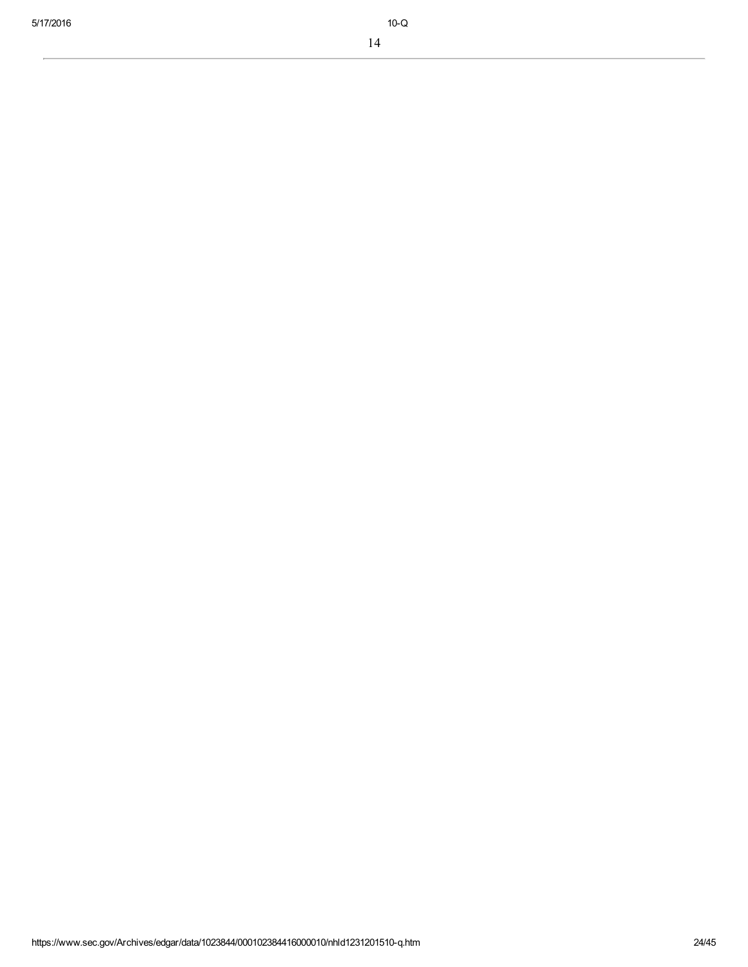https://www.sec.gov/Archives/edgar/data/1023844/000102384416000010/nhld1231201510-q.htm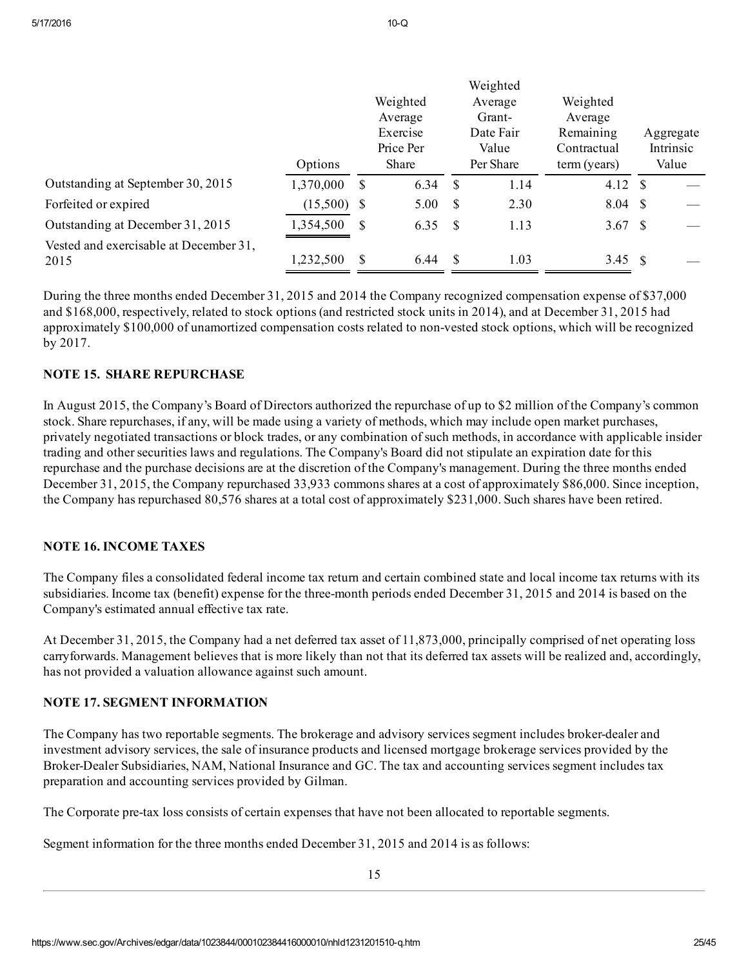|                                                | Options   |    | Weighted<br>Average<br>Exercise<br>Price Per<br>Share |               | Weighted<br>Average<br>Grant-<br>Date Fair<br>Value<br>Per Share | Weighted<br>Average<br>Remaining<br>Contractual<br>term (years) | Aggregate<br>Intrinsic<br>Value |
|------------------------------------------------|-----------|----|-------------------------------------------------------|---------------|------------------------------------------------------------------|-----------------------------------------------------------------|---------------------------------|
| Outstanding at September 30, 2015              | 1,370,000 | \$ | 6.34                                                  | -\$           | 1.14                                                             | $4.12 \text{ }$                                                 |                                 |
| Forfeited or expired                           | (15,500)  | -S | 5.00                                                  | <sup>\$</sup> | 2.30                                                             | $8.04 \text{ }$ \$                                              |                                 |
| Outstanding at December 31, 2015               | 1,354,500 | \$ | 6.35                                                  | - \$          | 1.13                                                             | 3.67 $\sqrt{s}$                                                 |                                 |
| Vested and exercisable at December 31,<br>2015 | 1,232,500 | S  | 6.44                                                  | - \$          | 1.03                                                             | 3.45 $\sqrt{3}$                                                 |                                 |

During the three months ended December 31, 2015 and 2014 the Company recognized compensation expense of \$37,000 and \$168,000, respectively, related to stock options (and restricted stock units in 2014), and at December 31, 2015 had approximately \$100,000 of unamortized compensation costs related to non-vested stock options, which will be recognized by 2017.

# NOTE 15. SHARE REPURCHASE

In August 2015, the Company's Board of Directors authorized the repurchase of up to \$2 million of the Company's common stock. Share repurchases, if any, will be made using a variety of methods, which may include open market purchases, privately negotiated transactions or block trades, or any combination ofsuch methods, in accordance with applicable insider trading and othersecurities laws and regulations. The Company's Board did not stipulate an expiration date for this repurchase and the purchase decisions are at the discretion of the Company's management. During the three months ended December 31, 2015, the Company repurchased 33,933 commons shares at a cost of approximately \$86,000. Since inception, the Company has repurchased 80,576 shares at a total cost of approximately \$231,000. Such shares have been retired.

#### NOTE 16. INCOME TAXES

The Company files a consolidated federal income tax return and certain combined state and local income tax returns with its subsidiaries. Income tax (benefit) expense for the three-month periods ended December 31, 2015 and 2014 is based on the Company's estimated annual effective tax rate.

At December 31, 2015, the Company had a net deferred tax asset of 11,873,000, principally comprised of net operating loss carryforwards. Management believes that is more likely than not that its deferred tax assets will be realized and, accordingly, has not provided a valuation allowance against such amount.

#### NOTE 17. SEGMENT INFORMATION

The Company has two reportable segments. The brokerage and advisory services segment includes brokerdealer and investment advisory services, the sale of insurance products and licensed mortgage brokerage services provided by the Broker-Dealer Subsidiaries, NAM, National Insurance and GC. The tax and accounting services segment includes tax preparation and accounting services provided by Gilman.

The Corporate pre-tax loss consists of certain expenses that have not been allocated to reportable segments.

Segment information for the three months ended December 31, 2015 and 2014 is as follows: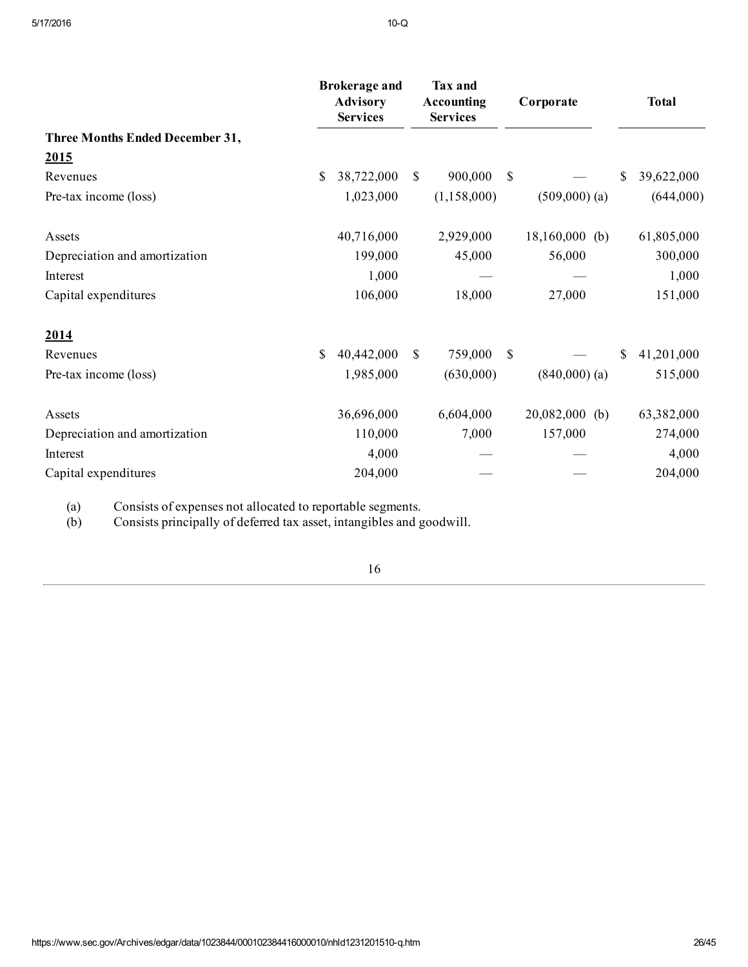|                                 | <b>Brokerage and</b><br><b>Advisory</b><br><b>Services</b> | <b>Tax and</b><br><b>Accounting</b><br><b>Services</b> | Corporate        | <b>Total</b>     |  |
|---------------------------------|------------------------------------------------------------|--------------------------------------------------------|------------------|------------------|--|
| Three Months Ended December 31, |                                                            |                                                        |                  |                  |  |
| 2015                            |                                                            |                                                        |                  |                  |  |
| Revenues                        | \$<br>38,722,000                                           | 900,000<br>$\mathcal{S}$                               | $\mathcal{S}$    | \$<br>39,622,000 |  |
| Pre-tax income (loss)           | 1,023,000                                                  | (1,158,000)                                            | $(509,000)$ (a)  | (644,000)        |  |
| Assets                          | 40,716,000                                                 | 2,929,000                                              | $18,160,000$ (b) | 61,805,000       |  |
| Depreciation and amortization   | 199,000                                                    | 45,000                                                 | 56,000           | 300,000          |  |
| Interest                        | 1,000                                                      |                                                        |                  | 1,000            |  |
| Capital expenditures            | 106,000                                                    | 18,000                                                 | 27,000           | 151,000          |  |
| 2014                            |                                                            |                                                        |                  |                  |  |
| Revenues                        | \$<br>40,442,000                                           | 759,000<br>$\mathbb{S}$                                | $\mathbb{S}$     | \$<br>41,201,000 |  |
| Pre-tax income (loss)           | 1,985,000                                                  | (630,000)                                              | $(840,000)$ (a)  | 515,000          |  |
| Assets                          | 36,696,000                                                 | 6,604,000                                              | $20,082,000$ (b) | 63,382,000       |  |
| Depreciation and amortization   | 110,000                                                    | 7,000                                                  | 157,000          | 274,000          |  |
| Interest                        | 4,000                                                      |                                                        |                  | 4,000            |  |
| Capital expenditures            | 204,000                                                    |                                                        |                  | 204,000          |  |

(a) Consists of expenses not allocated to reportable segments.

(b) Consists principally of deferred tax asset, intangibles and goodwill.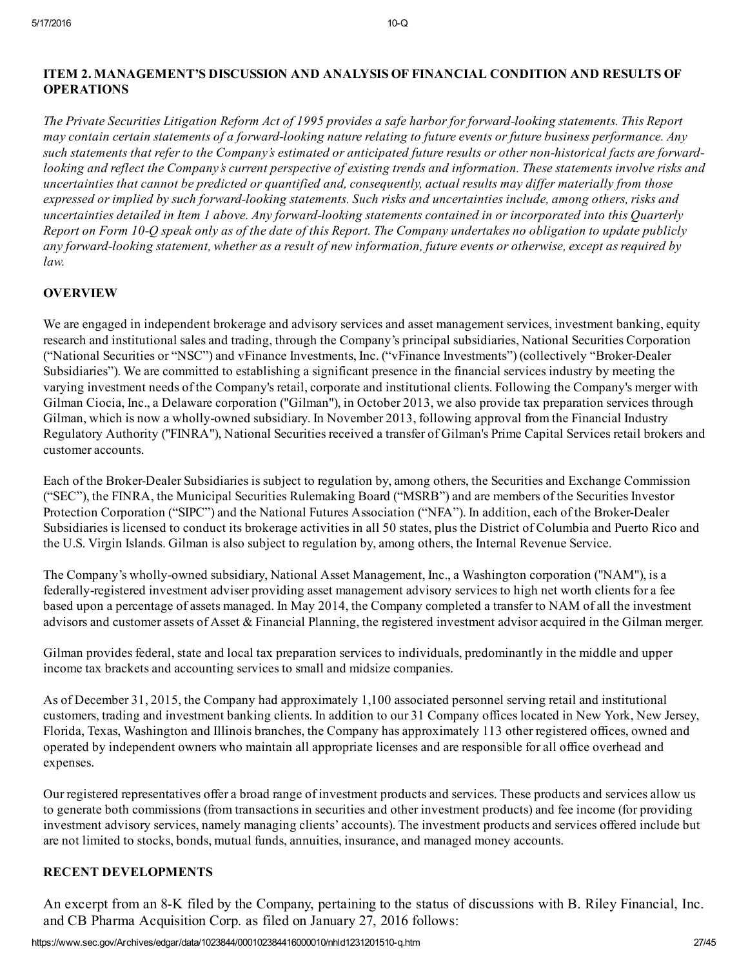# <span id="page-26-0"></span>ITEM 2. MANAGEMENT'S DISCUSSION AND ANALYSIS OF FINANCIAL CONDITION AND RESULTS OF **OPERATIONS**

The Private Securities Litigation Reform Act of 1995 provides a safe harbor for forward-looking statements. This Report may contain certain statements of a forward-looking nature relating to future events or future business performance. Any such statements that refer to the Company's estimated or anticipated future results or other non-historical facts are forwardlooking and reflect the Company's current perspective of existing trends and information. These statements involve risks and uncertainties that cannot be predicted or quantified and, consequently, actual results may differ materially from those expressed or implied by such forward-looking statements. Such risks and uncertainties include, among others, risks and uncertainties detailed in Item 1 above. Any forward-looking statements contained in or incorporated into this Quarterly Report on Form 10Q speak only as of the date of this Report. The Company undertakes no obligation to update publicly any forward-looking statement, whether as a result of new information, future events or otherwise, except as required by law.

# OVERVIEW

We are engaged in independent brokerage and advisory services and asset management services, investment banking, equity research and institutional sales and trading, through the Company's principal subsidiaries, National Securities Corporation ("National Securities or "NSC") and vFinance Investments, Inc. ("vFinance Investments") (collectively "Broker-Dealer Subsidiaries"). We are committed to establishing a significant presence in the financial services industry by meeting the varying investment needs of the Company's retail, corporate and institutional clients. Following the Company's merger with Gilman Ciocia, Inc., a Delaware corporation ("Gilman"), in October 2013, we also provide tax preparation services through Gilman, which is now a wholly-owned subsidiary. In November 2013, following approval from the Financial Industry Regulatory Authority ("FINRA"), National Securities received a transfer of Gilman's Prime Capital Services retail brokers and customer accounts.

Each of the Broker-Dealer Subsidiaries is subject to regulation by, among others, the Securities and Exchange Commission ("SEC"), the FINRA, the Municipal Securities Rulemaking Board ("MSRB") and are members of the Securities Investor Protection Corporation ("SIPC") and the National Futures Association ("NFA"). In addition, each of the Broker-Dealer Subsidiaries is licensed to conduct its brokerage activities in all 50 states, plus the District of Columbia and Puerto Rico and the U.S. Virgin Islands. Gilman is also subject to regulation by, among others, the Internal Revenue Service.

The Company's wholly-owned subsidiary, National Asset Management, Inc., a Washington corporation ("NAM"), is a federally-registered investment adviser providing asset management advisory services to high net worth clients for a fee based upon a percentage of assets managed. In May 2014, the Company completed a transfer to NAM of all the investment advisors and customer assets of Asset & Financial Planning, the registered investment advisor acquired in the Gilman merger.

Gilman provides federal, state and local tax preparation services to individuals, predominantly in the middle and upper income tax brackets and accounting services to small and midsize companies.

As of December 31, 2015, the Company had approximately 1,100 associated personnel serving retail and institutional customers, trading and investment banking clients. In addition to our 31 Company offices located in New York, New Jersey, Florida, Texas, Washington and Illinois branches, the Company has approximately 113 other registered offices, owned and operated by independent owners who maintain all appropriate licenses and are responsible for all office overhead and expenses.

Our registered representatives offer a broad range of investment products and services. These products and services allow us to generate both commissions (from transactions in securities and other investment products) and fee income (for providing investment advisory services, namely managing clients' accounts). The investment products and services offered include but are not limited to stocks, bonds, mutual funds, annuities, insurance, and managed money accounts.

# RECENT DEVELOPMENTS

An excerpt from an 8-K filed by the Company, pertaining to the status of discussions with B. Riley Financial, Inc. and CB Pharma Acquisition Corp. as filed on January 27, 2016 follows: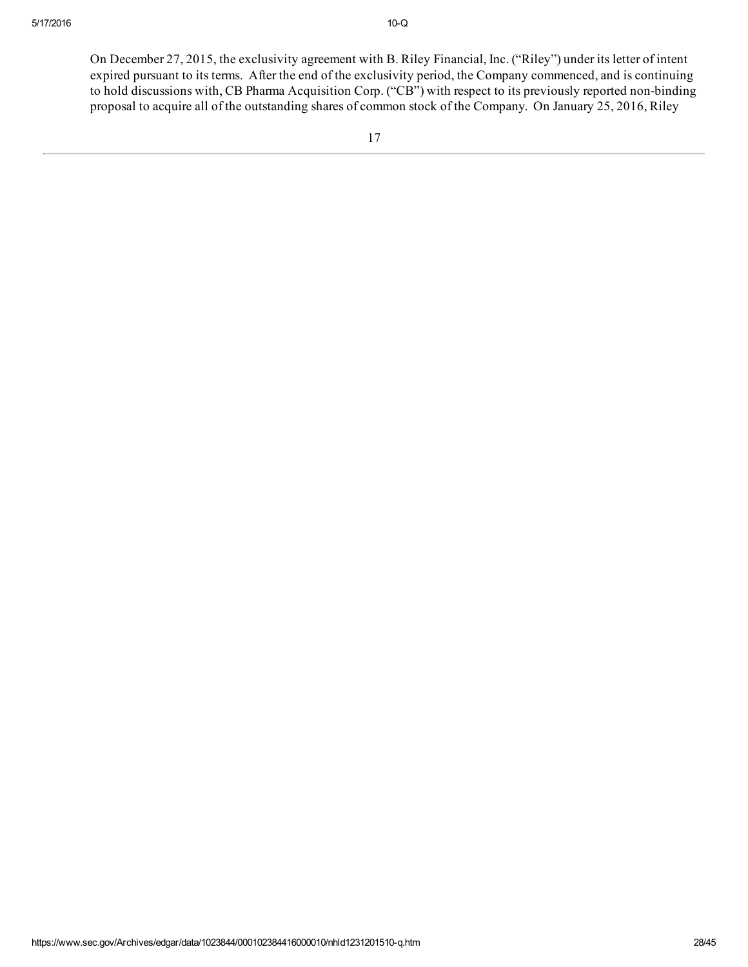On December 27, 2015, the exclusivity agreement with B. Riley Financial, Inc. ("Riley") under its letter of intent expired pursuant to its terms. After the end of the exclusivity period, the Company commenced, and is continuing to hold discussions with, CB Pharma Acquisition Corp. ("CB") with respect to its previously reported non-binding proposal to acquire all of the outstanding shares of common stock of the Company. On January 25, 2016, Riley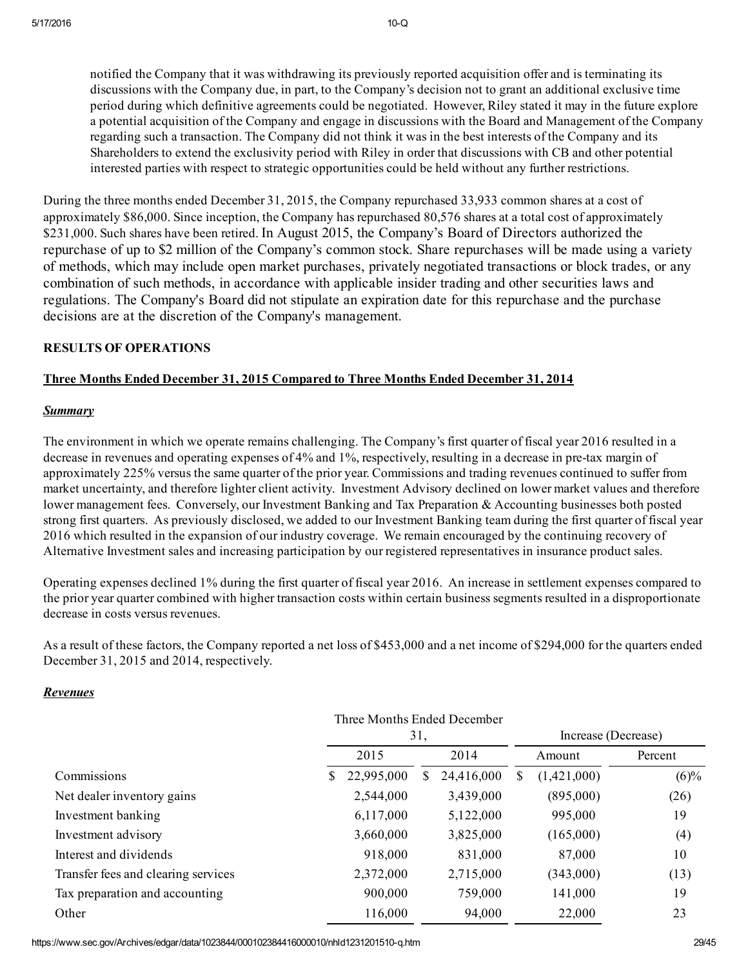notified the Company that it was withdrawing its previously reported acquisition offer and is terminating its discussions with the Company due, in part, to the Company's decision not to grant an additional exclusive time period during which definitive agreements could be negotiated. However, Riley stated it may in the future explore a potential acquisition of the Company and engage in discussions with the Board and Management of the Company regarding such a transaction. The Company did not think it was in the best interests of the Company and its Shareholders to extend the exclusivity period with Riley in order that discussions with CB and other potential interested parties with respect to strategic opportunities could be held without any further restrictions.

During the three months ended December 31, 2015, the Company repurchased 33,933 common shares at a cost of approximately \$86,000. Since inception, the Company has repurchased 80,576 shares at a total cost of approximately \$231,000. Such shares have been retired. In August 2015, the Company's Board of Directors authorized the repurchase of up to \$2 million of the Company's common stock. Share repurchases will be made using a variety of methods, which may include open market purchases, privately negotiated transactions or block trades, or any combination of such methods, in accordance with applicable insider trading and other securities laws and regulations. The Company's Board did not stipulate an expiration date for this repurchase and the purchase decisions are at the discretion of the Company's management.

# RESULTS OF OPERATIONS

# Three Months Ended December 31, 2015 Compared to Three Months Ended December 31, 2014

#### Summary

The environment in which we operate remains challenging. The Company's first quarter of fiscal year 2016 resulted in a decrease in revenues and operating expenses of 4% and 1%, respectively, resulting in a decrease in pre-tax margin of approximately 225% versus the same quarter of the prior year. Commissions and trading revenues continued to suffer from market uncertainty, and therefore lighter client activity. Investment Advisory declined on lower market values and therefore lower management fees. Conversely, our Investment Banking and Tax Preparation & Accounting businesses both posted strong first quarters. As previously disclosed, we added to our Investment Banking team during the first quarter of fiscal year 2016 which resulted in the expansion of our industry coverage. We remain encouraged by the continuing recovery of Alternative Investment sales and increasing participation by our registered representatives in insurance product sales.

Operating expenses declined 1% during the first quarter of fiscal year 2016. An increase in settlement expenses compared to the prior year quarter combined with higher transaction costs within certain business segments resulted in a disproportionate decrease in costs versus revenues.

As a result of these factors, the Company reported a net loss of \$453,000 and a net income of \$294,000 for the quarters ended December 31, 2015 and 2014, respectively.

#### **Revenues**

|                                     |            | Three Months Ended December |                     |         |
|-------------------------------------|------------|-----------------------------|---------------------|---------|
|                                     |            | 31,                         | Increase (Decrease) |         |
|                                     | 2015       | 2014                        | Amount              | Percent |
| Commissions                         | 22,995,000 | 24,416,000<br>S.            | (1,421,000)<br>S    | $(6)\%$ |
| Net dealer inventory gains          | 2,544,000  | 3,439,000                   | (895,000)           | (26)    |
| Investment banking                  | 6,117,000  | 5,122,000                   | 995,000             | 19      |
| Investment advisory                 | 3,660,000  | 3,825,000                   | (165,000)           | (4)     |
| Interest and dividends              | 918,000    | 831,000                     | 87,000              | 10      |
| Transfer fees and clearing services | 2,372,000  | 2,715,000                   | (343,000)           | (13)    |
| Tax preparation and accounting      | 900,000    | 759,000                     | 141,000             | 19      |
| Other                               | 116,000    | 94,000                      | 22,000              | 23      |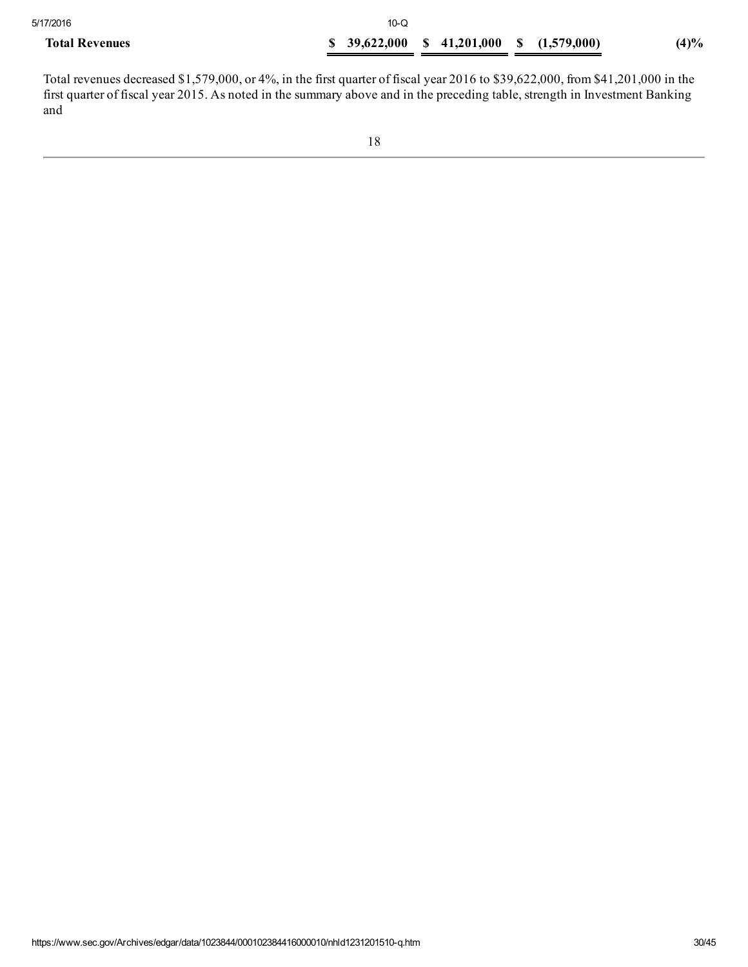| 5/17/2016             | $10 - Q$ |  |                                                    |      |  |
|-----------------------|----------|--|----------------------------------------------------|------|--|
| <b>Total Revenues</b> |          |  | $$39,622,000 \quad $41,201,000 \quad $(1,579,000)$ | (4)% |  |

Total revenues decreased \$1,579,000, or 4%, in the first quarter of fiscal year 2016 to \$39,622,000, from \$41,201,000 in the first quarter of fiscal year 2015. As noted in the summary above and in the preceding table, strength in Investment Banking and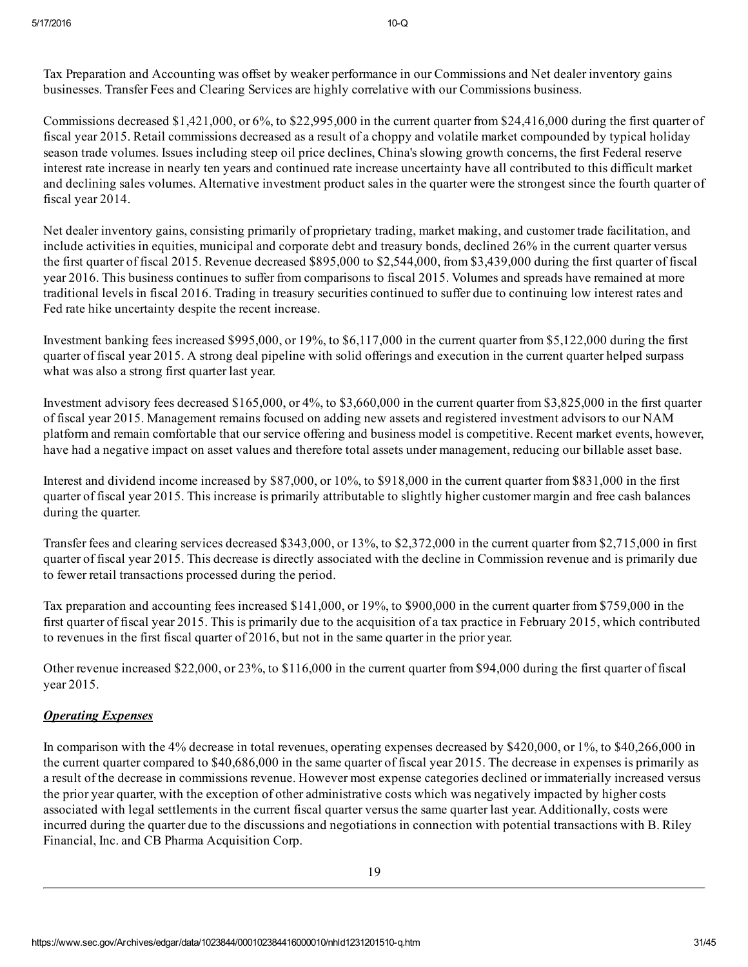Tax Preparation and Accounting was offset by weaker performance in our Commissions and Net dealer inventory gains businesses. Transfer Fees and Clearing Services are highly correlative with our Commissions business.

Commissions decreased \$1,421,000, or 6%, to \$22,995,000 in the current quarter from \$24,416,000 during the first quarter of fiscal year 2015. Retail commissions decreased as a result of a choppy and volatile market compounded by typical holiday season trade volumes. Issues including steep oil price declines, China's slowing growth concerns, the first Federal reserve interest rate increase in nearly ten years and continued rate increase uncertainty have all contributed to this difficult market and declining sales volumes. Alternative investment product sales in the quarter were the strongest since the fourth quarter of fiscal year 2014.

Net dealer inventory gains, consisting primarily of proprietary trading, market making, and customer trade facilitation, and include activities in equities, municipal and corporate debt and treasury bonds, declined 26% in the current quarter versus the first quarter of fiscal 2015. Revenue decreased \$895,000 to \$2,544,000, from \$3,439,000 during the first quarter of fiscal year 2016. This business continues to suffer from comparisons to fiscal 2015. Volumes and spreads have remained at more traditional levels in fiscal 2016. Trading in treasury securities continued to suffer due to continuing low interest rates and Fed rate hike uncertainty despite the recent increase.

Investment banking fees increased \$995,000, or 19%, to \$6,117,000 in the current quarter from \$5,122,000 during the first quarter of fiscal year 2015. A strong deal pipeline with solid offerings and execution in the current quarter helped surpass what was also a strong first quarter last year.

Investment advisory fees decreased \$165,000, or 4%, to \$3,660,000 in the current quarter from \$3,825,000 in the first quarter of fiscal year 2015. Management remains focused on adding new assets and registered investment advisors to our NAM platform and remain comfortable that ourservice offering and business model is competitive. Recent market events, however, have had a negative impact on asset values and therefore total assets under management, reducing our billable asset base.

Interest and dividend income increased by \$87,000, or 10%, to \$918,000 in the current quarter from \$831,000 in the first quarter of fiscal year 2015. This increase is primarily attributable to slightly higher customer margin and free cash balances during the quarter.

Transfer fees and clearing services decreased \$343,000, or 13%, to \$2,372,000 in the current quarter from \$2,715,000 in first quarter of fiscal year 2015. This decrease is directly associated with the decline in Commission revenue and is primarily due to fewer retail transactions processed during the period.

Tax preparation and accounting fees increased \$141,000, or 19%, to \$900,000 in the current quarter from \$759,000 in the first quarter of fiscal year 2015. This is primarily due to the acquisition of a tax practice in February 2015, which contributed to revenues in the first fiscal quarter of 2016, but not in the same quarter in the prior year.

Other revenue increased \$22,000, or 23%, to \$116,000 in the current quarter from \$94,000 during the first quarter of fiscal year 2015.

# **Operating Expenses**

In comparison with the 4% decrease in total revenues, operating expenses decreased by \$420,000, or 1%, to \$40,266,000 in the current quarter compared to \$40,686,000 in the same quarter of fiscal year 2015. The decrease in expenses is primarily as a result of the decrease in commissions revenue. However most expense categories declined or immaterially increased versus the prior year quarter, with the exception of other administrative costs which was negatively impacted by higher costs associated with legal settlements in the current fiscal quarter versus the same quarter last year. Additionally, costs were incurred during the quarter due to the discussions and negotiations in connection with potential transactions with B. Riley Financial, Inc. and CB Pharma Acquisition Corp.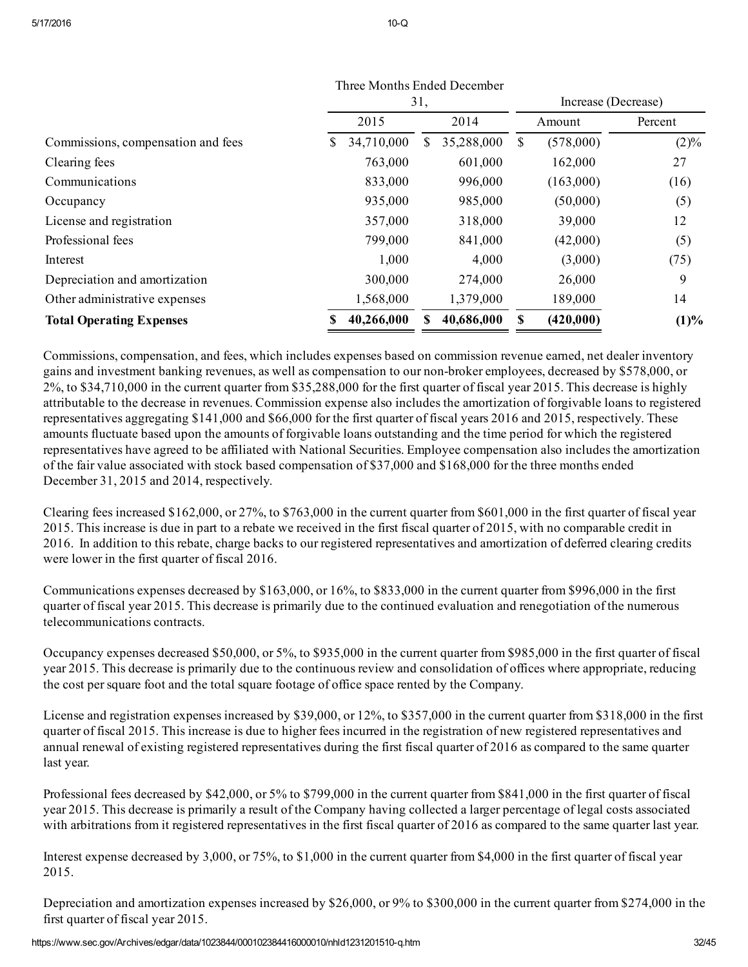|                                    |                  | 31,              | Increase (Decrease) |         |  |  |
|------------------------------------|------------------|------------------|---------------------|---------|--|--|
|                                    | 2015             | 2014             | Amount              | Percent |  |  |
| Commissions, compensation and fees | 34,710,000<br>S. | 35,288,000<br>S. | (578,000)<br>S      | $(2)\%$ |  |  |
| Clearing fees                      | 763,000          | 601,000          | 162,000             | 27      |  |  |
| Communications                     | 833,000          | 996,000          | (163,000)           | (16)    |  |  |
| Occupancy                          | 935,000          | 985,000          | (50,000)            | (5)     |  |  |
| License and registration           | 357,000          | 318,000          | 39,000              | 12      |  |  |
| Professional fees                  | 799,000          | 841,000          | (42,000)            | (5)     |  |  |
| Interest                           | 1,000            | 4,000            | (3,000)             | (75)    |  |  |
| Depreciation and amortization      | 300,000          | 274,000          | 26,000              | 9       |  |  |
| Other administrative expenses      | 1,568,000        | 1,379,000        | 189,000             | 14      |  |  |
| <b>Total Operating Expenses</b>    | 40,266,000       | 40,686,000       | (420,000)<br>S      | (1)%    |  |  |

Three Months Ended December

Commissions, compensation, and fees, which includes expenses based on commission revenue earned, net dealer inventory gains and investment banking revenues, as well as compensation to our nonbroker employees, decreased by \$578,000, or 2%, to \$34,710,000 in the current quarter from \$35,288,000 for the first quarter of fiscal year 2015. This decrease is highly attributable to the decrease in revenues. Commission expense also includes the amortization of forgivable loans to registered representatives aggregating \$141,000 and \$66,000 for the first quarter of fiscal years 2016 and 2015, respectively. These amounts fluctuate based upon the amounts of forgivable loans outstanding and the time period for which the registered representatives have agreed to be affiliated with National Securities. Employee compensation also includes the amortization of the fair value associated with stock based compensation of \$37,000 and \$168,000 for the three months ended December 31, 2015 and 2014, respectively.

Clearing fees increased \$162,000, or 27%, to \$763,000 in the current quarter from \$601,000 in the first quarter of fiscal year 2015. This increase is due in part to a rebate we received in the first fiscal quarter of 2015, with no comparable credit in 2016. In addition to this rebate, charge backs to our registered representatives and amortization of deferred clearing credits were lower in the first quarter of fiscal 2016.

Communications expenses decreased by \$163,000, or 16%, to \$833,000 in the current quarter from \$996,000 in the first quarter of fiscal year 2015. This decrease is primarily due to the continued evaluation and renegotiation of the numerous telecommunications contracts.

Occupancy expenses decreased \$50,000, or 5%, to \$935,000 in the current quarter from \$985,000 in the first quarter of fiscal year 2015. This decrease is primarily due to the continuous review and consolidation of offices where appropriate, reducing the cost persquare foot and the total square footage of office space rented by the Company.

License and registration expenses increased by \$39,000, or 12%, to \$357,000 in the current quarter from \$318,000 in the first quarter of fiscal 2015. This increase is due to higher fees incurred in the registration of new registered representatives and annual renewal of existing registered representatives during the first fiscal quarter of 2016 as compared to the same quarter last year.

Professional fees decreased by \$42,000, or 5% to \$799,000 in the current quarter from \$841,000 in the first quarter of fiscal year 2015. This decrease is primarily a result of the Company having collected a larger percentage of legal costs associated with arbitrations from it registered representatives in the first fiscal quarter of 2016 as compared to the same quarter last year.

Interest expense decreased by 3,000, or 75%, to \$1,000 in the current quarter from \$4,000 in the first quarter of fiscal year 2015.

Depreciation and amortization expenses increased by \$26,000, or 9% to \$300,000 in the current quarter from \$274,000 in the first quarter of fiscal year 2015.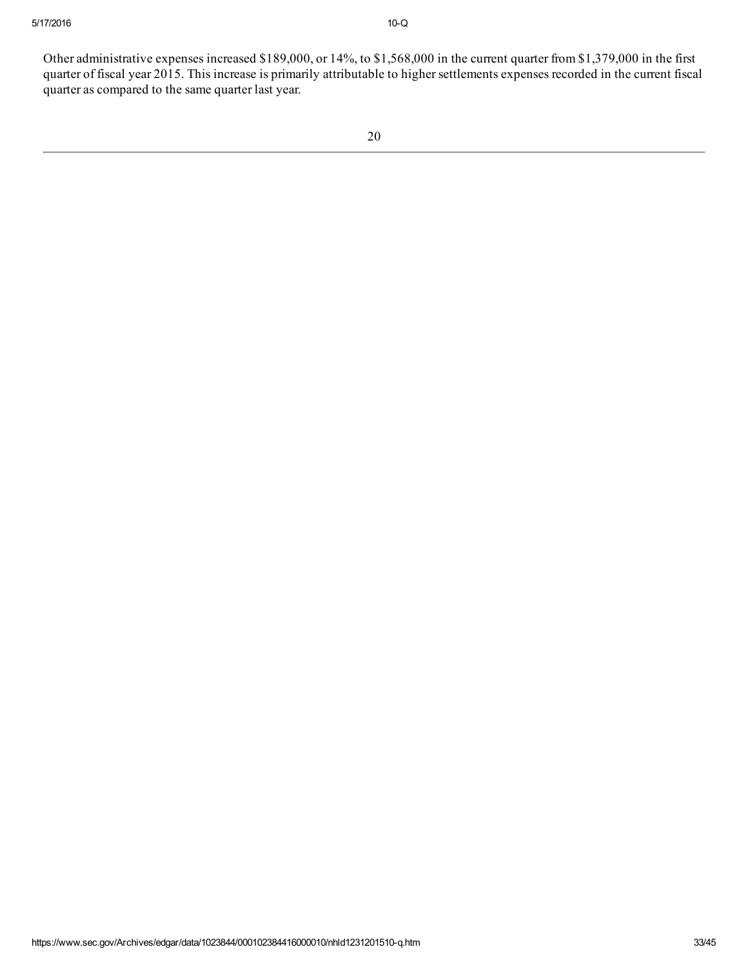Other administrative expenses increased \$189,000, or 14%, to \$1,568,000 in the current quarter from \$1,379,000 in the first quarter of fiscal year 2015. This increase is primarily attributable to higher settlements expenses recorded in the current fiscal quarter as compared to the same quarter last year.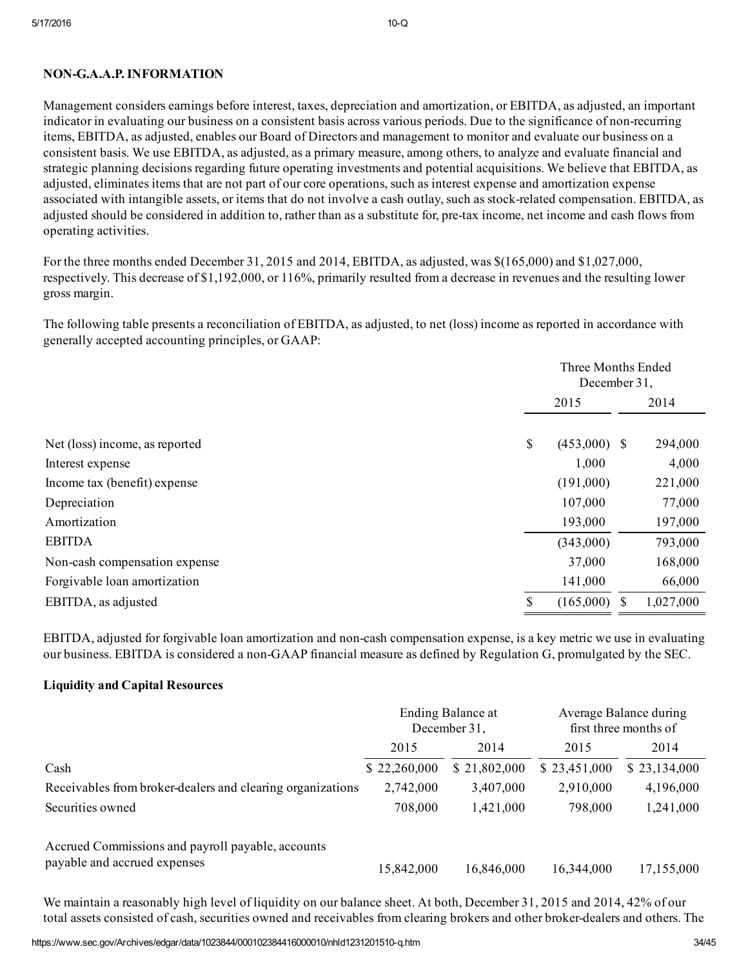# NON-G.A.A.P. INFORMATION

Management considers earnings before interest, taxes, depreciation and amortization, or EBITDA, as adjusted, an important indicator in evaluating our business on a consistent basis across various periods. Due to the significance of non-recurring items, EBITDA, as adjusted, enables our Board of Directors and management to monitor and evaluate our business on a consistent basis. We use EBITDA, as adjusted, as a primary measure, among others, to analyze and evaluate financial and strategic planning decisions regarding future operating investments and potential acquisitions. We believe that EBITDA, as adjusted, eliminates items that are not part of our core operations, such as interest expense and amortization expense associated with intangible assets, or items that do not involve a cash outlay, such as stockrelated compensation. EBITDA, as adjusted should be considered in addition to, rather than as a substitute for, pre-tax income, net income and cash flows from operating activities.

For the three months ended December 31, 2015 and 2014, EBITDA, as adjusted, was \$(165,000) and \$1,027,000, respectively. This decrease of \$1,192,000, or 116%, primarily resulted from a decrease in revenues and the resulting lower gross margin.

The following table presents a reconciliation of EBITDA, as adjusted, to net (loss) income as reported in accordance with generally accepted accounting principles, or GAAP:

|                                |    | Three Months Ended<br>December 31, |           |  |
|--------------------------------|----|------------------------------------|-----------|--|
|                                |    | 2015                               | 2014      |  |
| Net (loss) income, as reported | \$ | $(453,000)$ \$                     | 294,000   |  |
| Interest expense               |    | 1,000                              | 4,000     |  |
| Income tax (benefit) expense   |    | (191,000)                          | 221,000   |  |
| Depreciation                   |    | 107,000                            | 77,000    |  |
| Amortization                   |    | 193,000                            | 197,000   |  |
| <b>EBITDA</b>                  |    | (343,000)                          | 793,000   |  |
| Non-cash compensation expense  |    | 37,000                             | 168,000   |  |
| Forgivable loan amortization   |    | 141,000                            | 66,000    |  |
| EBITDA, as adjusted            | S  | (165,000)                          | 1,027,000 |  |

EBITDA, adjusted for forgivable loan amortization and non-cash compensation expense, is a key metric we use in evaluating our business. EBITDA is considered a nonGAAP financial measure as defined by Regulation G, promulgated by the SEC.

#### Liquidity and Capital Resources

|                                                                                   | Ending Balance at<br>December 31, |              | Average Balance during<br>first three months of |              |
|-----------------------------------------------------------------------------------|-----------------------------------|--------------|-------------------------------------------------|--------------|
|                                                                                   | 2015                              | 2014         | 2015                                            | 2014         |
| Cash                                                                              | \$22,260,000                      | \$21,802,000 | \$23,451,000                                    | \$23,134,000 |
| Receivables from broker-dealers and clearing organizations                        | 2,742,000                         | 3,407,000    | 2,910,000                                       | 4,196,000    |
| Securities owned                                                                  | 708,000                           | 1,421,000    | 798,000                                         | 1,241,000    |
| Accrued Commissions and payroll payable, accounts<br>payable and accrued expenses | 15,842,000                        | 16,846,000   | 16,344,000                                      | 17,155,000   |

We maintain a reasonably high level of liquidity on our balance sheet. At both, December 31, 2015 and 2014, 42% of our total assets consisted of cash, securities owned and receivables from clearing brokers and other brokerdealers and others. The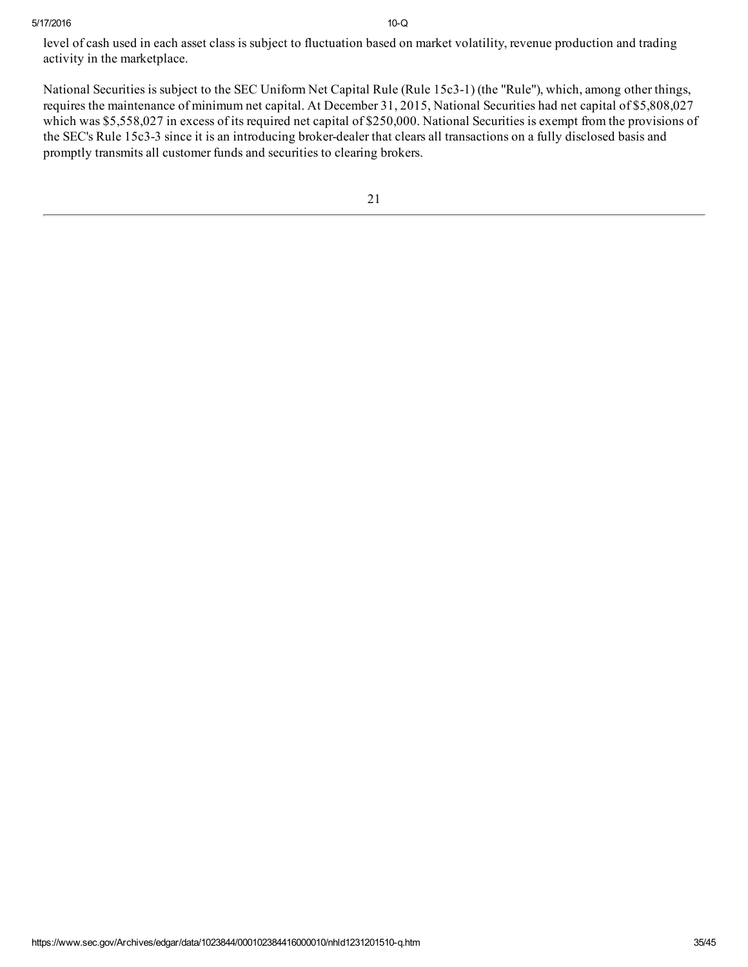#### 5/17/2016 10Q

level of cash used in each asset class is subject to fluctuation based on market volatility, revenue production and trading activity in the marketplace.

National Securities is subject to the SEC Uniform Net Capital Rule (Rule 15c3-1) (the "Rule"), which, among other things, requires the maintenance of minimum net capital. At December 31, 2015, National Securities had net capital of \$5,808,027 which was \$5,558,027 in excess of its required net capital of \$250,000. National Securities is exempt from the provisions of the SEC's Rule 15c3-3 since it is an introducing broker-dealer that clears all transactions on a fully disclosed basis and promptly transmits all customer funds and securities to clearing brokers.

21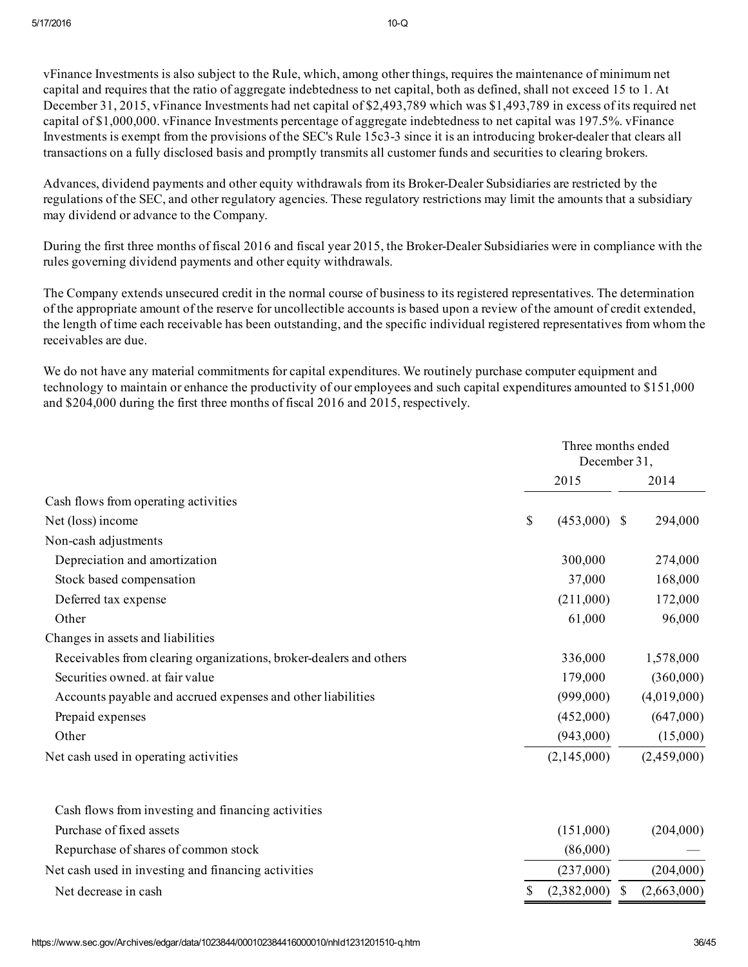vFinance Investments is also subject to the Rule, which, among other things, requires the maintenance of minimum net capital and requires that the ratio of aggregate indebtedness to net capital, both as defined, shall not exceed 15 to 1. At December 31, 2015, vFinance Investments had net capital of \$2,493,789 which was \$1,493,789 in excess of its required net capital of \$1,000,000. vFinance Investments percentage of aggregate indebtedness to net capital was 197.5%. vFinance Investments is exempt from the provisions of the SEC's Rule 15c3-3 since it is an introducing broker-dealer that clears all transactions on a fully disclosed basis and promptly transmits all customer funds and securities to clearing brokers.

Advances, dividend payments and other equity withdrawals from its BrokerDealer Subsidiaries are restricted by the regulations of the SEC, and other regulatory agencies. These regulatory restrictions may limit the amounts that a subsidiary may dividend or advance to the Company.

During the first three months of fiscal 2016 and fiscal year 2015, the BrokerDealer Subsidiaries were in compliance with the rules governing dividend payments and other equity withdrawals.

The Company extends unsecured credit in the normal course of business to its registered representatives. The determination of the appropriate amount of the reserve for uncollectible accounts is based upon a review of the amount of credit extended, the length of time each receivable has been outstanding, and the specific individual registered representatives from whom the receivables are due.

We do not have any material commitments for capital expenditures. We routinely purchase computer equipment and technology to maintain or enhance the productivity of our employees and such capital expenditures amounted to \$151,000 and \$204,000 during the first three months of fiscal 2016 and 2015, respectively.

|                                                                    | Three months ended<br>December 31, |                |   |             |
|--------------------------------------------------------------------|------------------------------------|----------------|---|-------------|
|                                                                    |                                    | 2015           |   | 2014        |
| Cash flows from operating activities                               |                                    |                |   |             |
| Net (loss) income                                                  | \$                                 | $(453,000)$ \$ |   | 294,000     |
| Non-cash adjustments                                               |                                    |                |   |             |
| Depreciation and amortization                                      |                                    | 300,000        |   | 274,000     |
| Stock based compensation                                           |                                    | 37,000         |   | 168,000     |
| Deferred tax expense                                               |                                    | (211,000)      |   | 172,000     |
| Other                                                              |                                    | 61,000         |   | 96,000      |
| Changes in assets and liabilities                                  |                                    |                |   |             |
| Receivables from clearing organizations, broker-dealers and others |                                    | 336,000        |   | 1,578,000   |
| Securities owned, at fair value                                    |                                    | 179,000        |   | (360,000)   |
| Accounts payable and accrued expenses and other liabilities        |                                    | (999,000)      |   | (4,019,000) |
| Prepaid expenses                                                   |                                    | (452,000)      |   | (647,000)   |
| Other                                                              |                                    | (943,000)      |   | (15,000)    |
| Net cash used in operating activities                              |                                    | (2,145,000)    |   | (2,459,000) |
| Cash flows from investing and financing activities                 |                                    |                |   |             |
| Purchase of fixed assets                                           |                                    | (151,000)      |   | (204,000)   |
| Repurchase of shares of common stock                               |                                    | (86,000)       |   |             |
| Net cash used in investing and financing activities                |                                    | (237,000)      |   | (204,000)   |
| Net decrease in cash                                               |                                    | (2,382,000)    | S | (2,663,000) |
|                                                                    |                                    |                |   |             |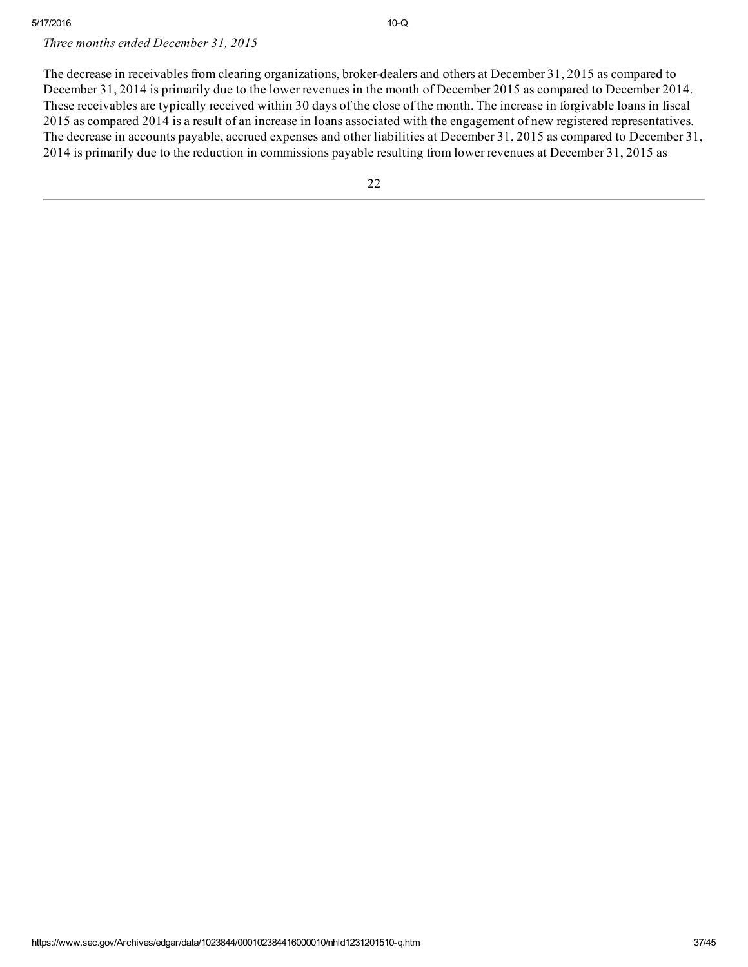5/17/2016 10Q

Three months ended December 31, 2015

The decrease in receivables from clearing organizations, broker-dealers and others at December 31, 2015 as compared to December 31, 2014 is primarily due to the lower revenues in the month of December 2015 as compared to December 2014. These receivables are typically received within 30 days of the close of the month. The increase in forgivable loans in fiscal 2015 as compared 2014 is a result of an increase in loans associated with the engagement of new registered representatives. The decrease in accounts payable, accrued expenses and other liabilities at December 31, 2015 as compared to December 31, 2014 is primarily due to the reduction in commissions payable resulting from lower revenues at December 31, 2015 as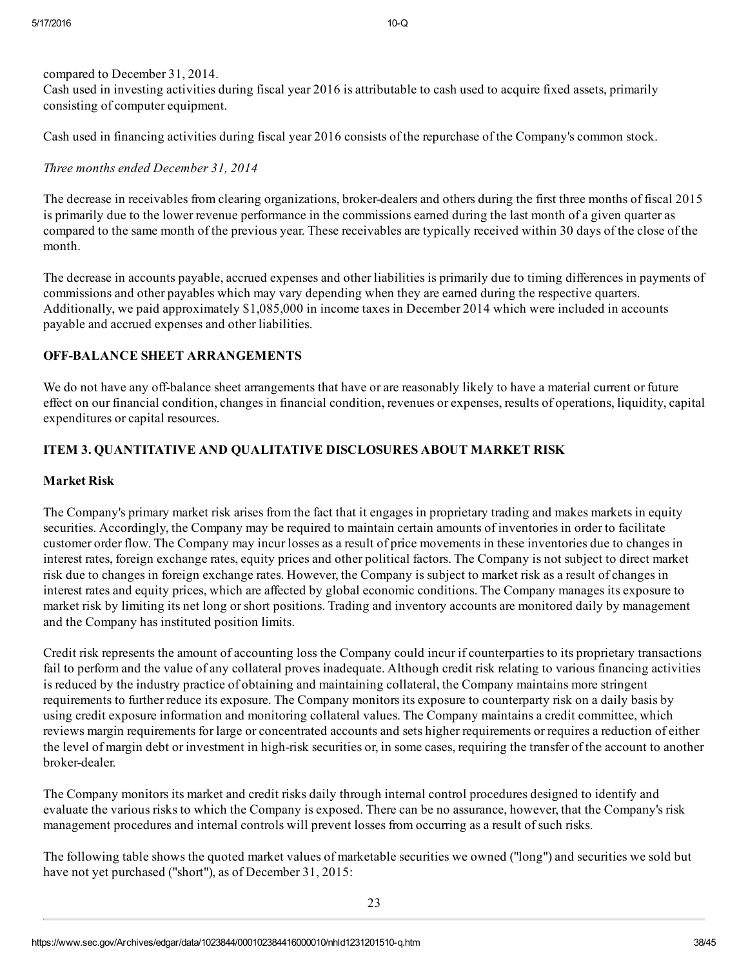## compared to December 31, 2014.

Cash used in investing activities during fiscal year 2016 is attributable to cash used to acquire fixed assets, primarily consisting of computer equipment.

Cash used in financing activities during fiscal year 2016 consists of the repurchase of the Company's common stock.

# Three months ended December 31, 2014

The decrease in receivables from clearing organizations, broker-dealers and others during the first three months of fiscal 2015 is primarily due to the lower revenue performance in the commissions earned during the last month of a given quarter as compared to the same month of the previous year. These receivables are typically received within 30 days of the close of the month.

The decrease in accounts payable, accrued expenses and other liabilities is primarily due to timing differences in payments of commissions and other payables which may vary depending when they are earned during the respective quarters. Additionally, we paid approximately \$1,085,000 in income taxes in December 2014 which were included in accounts payable and accrued expenses and other liabilities.

# OFF-BALANCE SHEET ARRANGEMENTS

We do not have any off-balance sheet arrangements that have or are reasonably likely to have a material current or future effect on our financial condition, changes in financial condition, revenues or expenses, results of operations, liquidity, capital expenditures or capital resources.

# <span id="page-37-0"></span>ITEM 3. QUANTITATIVE AND QUALITATIVE DISCLOSURES ABOUT MARKET RISK

# Market Risk

The Company's primary market risk arises from the fact that it engages in proprietary trading and makes markets in equity securities. Accordingly, the Company may be required to maintain certain amounts of inventories in order to facilitate customer order flow. The Company may incur losses as a result of price movements in these inventories due to changes in interest rates, foreign exchange rates, equity prices and other political factors. The Company is not subject to direct market risk due to changes in foreign exchange rates. However, the Company is subject to market risk as a result of changes in interest rates and equity prices, which are affected by global economic conditions. The Company manages its exposure to market risk by limiting its net long orshort positions. Trading and inventory accounts are monitored daily by management and the Company has instituted position limits.

Credit risk represents the amount of accounting loss the Company could incur if counterparties to its proprietary transactions fail to perform and the value of any collateral proves inadequate. Although credit risk relating to various financing activities is reduced by the industry practice of obtaining and maintaining collateral, the Company maintains more stringent requirements to further reduce its exposure. The Company monitors its exposure to counterparty risk on a daily basis by using credit exposure information and monitoring collateral values. The Company maintains a credit committee, which reviews margin requirements for large or concentrated accounts and sets higher requirements or requires a reduction of either the level of margin debt or investment in high-risk securities or, in some cases, requiring the transfer of the account to another brokerdealer.

The Company monitors its market and credit risks daily through internal control procedures designed to identify and evaluate the various risks to which the Company is exposed. There can be no assurance, however, that the Company's risk management procedures and internal controls will prevent losses from occurring as a result of such risks.

The following table shows the quoted market values of marketable securities we owned ("long") and securities we sold but have not yet purchased ("short"), as of December 31, 2015: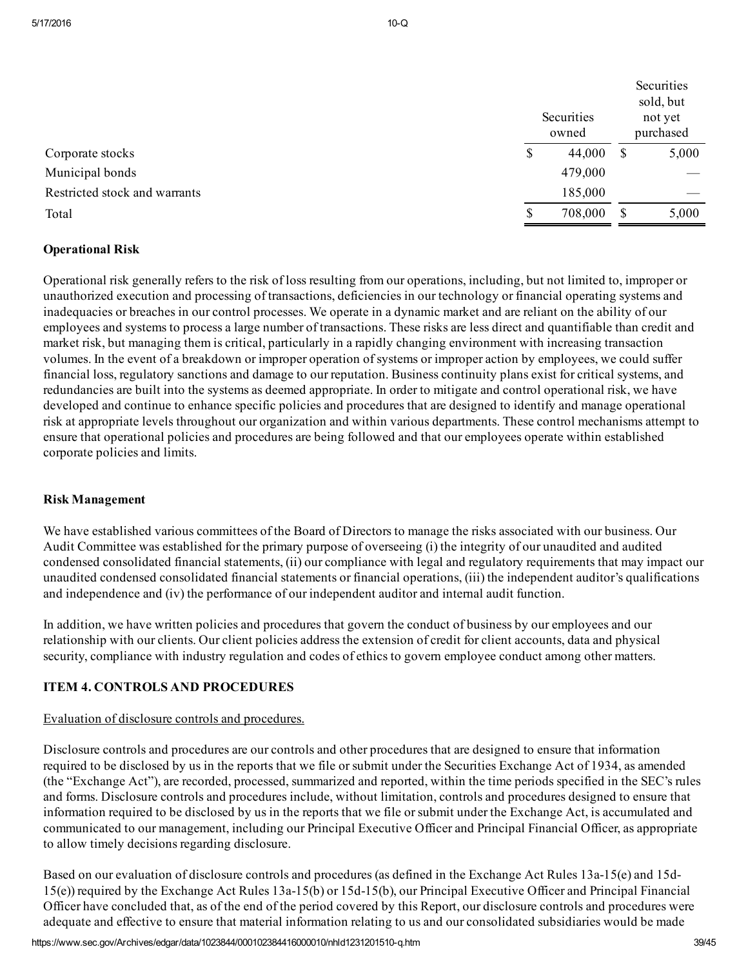|                               | Securities<br>owned |         |    | Securities<br>sold, but<br>not yet<br>purchased |  |
|-------------------------------|---------------------|---------|----|-------------------------------------------------|--|
| Corporate stocks              | S                   | 44,000  | \$ | 5,000                                           |  |
| Municipal bonds               |                     | 479,000 |    |                                                 |  |
| Restricted stock and warrants |                     | 185,000 |    |                                                 |  |
| Total                         |                     | 708,000 | \$ | 5,000                                           |  |
|                               |                     |         |    |                                                 |  |

#### Operational Risk

Operational risk generally refers to the risk of loss resulting from our operations, including, but not limited to, improper or unauthorized execution and processing of transactions, deficiencies in our technology or financial operating systems and inadequacies or breaches in our control processes. We operate in a dynamic market and are reliant on the ability of our employees and systems to process a large number of transactions. These risks are less direct and quantifiable than credit and market risk, but managing them is critical, particularly in a rapidly changing environment with increasing transaction volumes. In the event of a breakdown or improper operation of systems or improper action by employees, we could suffer financial loss, regulatory sanctions and damage to our reputation. Business continuity plans exist for critical systems, and redundancies are built into the systems as deemed appropriate. In order to mitigate and control operational risk, we have developed and continue to enhance specific policies and procedures that are designed to identify and manage operational risk at appropriate levels throughout our organization and within various departments. These control mechanisms attempt to ensure that operational policies and procedures are being followed and that our employees operate within established corporate policies and limits.

#### Risk Management

We have established various committees of the Board of Directors to manage the risks associated with our business. Our Audit Committee was established for the primary purpose of overseeing (i) the integrity of our unaudited and audited condensed consolidated financial statements, (ii) our compliance with legal and regulatory requirements that may impact our unaudited condensed consolidated financial statements or financial operations, (iii) the independent auditor's qualifications and independence and (iv) the performance of our independent auditor and internal audit function.

In addition, we have written policies and procedures that govern the conduct of business by our employees and our relationship with our clients. Our client policies address the extension of credit for client accounts, data and physical security, compliance with industry regulation and codes of ethics to govern employee conduct among other matters.

# <span id="page-38-0"></span>ITEM 4. CONTROLS AND PROCEDURES

#### Evaluation of disclosure controls and procedures.

Disclosure controls and procedures are our controls and other procedures that are designed to ensure that information required to be disclosed by us in the reports that we file or submit under the Securities Exchange Act of 1934, as amended (the "Exchange Act"), are recorded, processed, summarized and reported, within the time periods specified in the SEC's rules and forms. Disclosure controls and procedures include, without limitation, controls and procedures designed to ensure that information required to be disclosed by us in the reports that we file orsubmit under the Exchange Act, is accumulated and communicated to our management, including our Principal Executive Officer and Principal Financial Officer, as appropriate to allow timely decisions regarding disclosure.

Based on our evaluation of disclosure controls and procedures (as defined in the Exchange Act Rules  $13a-15(e)$  and  $15d-15(e)$  $15(e)$ ) required by the Exchange Act Rules  $13a-15(b)$  or  $15d-15(b)$ , our Principal Executive Officer and Principal Financial Officer have concluded that, as of the end of the period covered by this Report, our disclosure controls and procedures were adequate and effective to ensure that material information relating to us and our consolidated subsidiaries would be made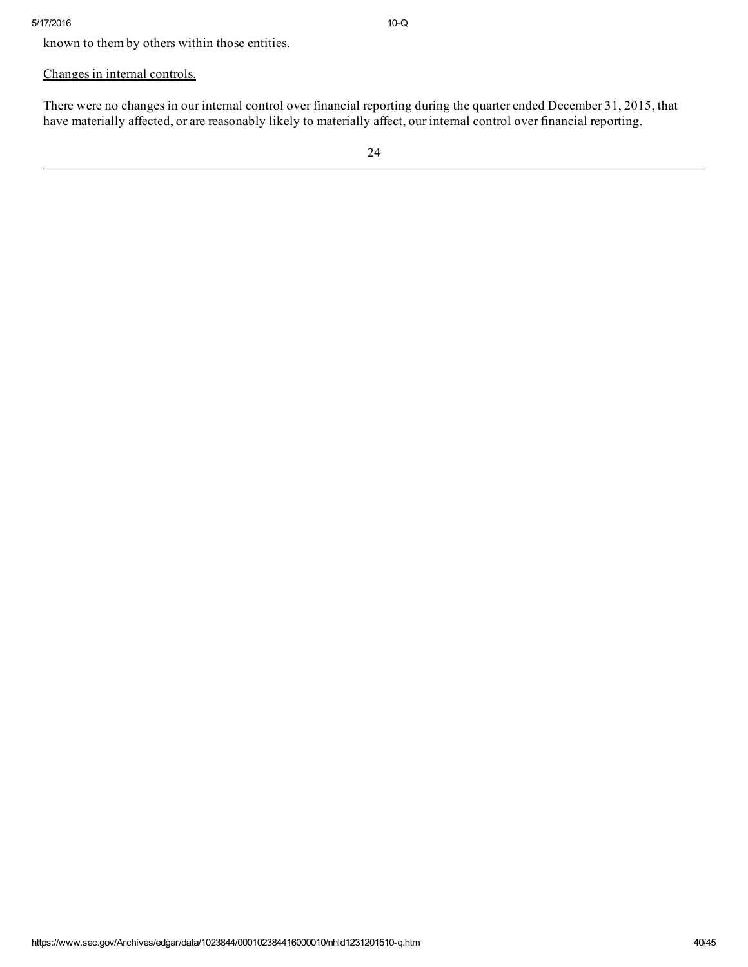known to them by others within those entities.

# Changes in internal controls.

There were no changes in our internal control over financial reporting during the quarter ended December 31, 2015, that have materially affected, or are reasonably likely to materially affect, our internal control over financial reporting.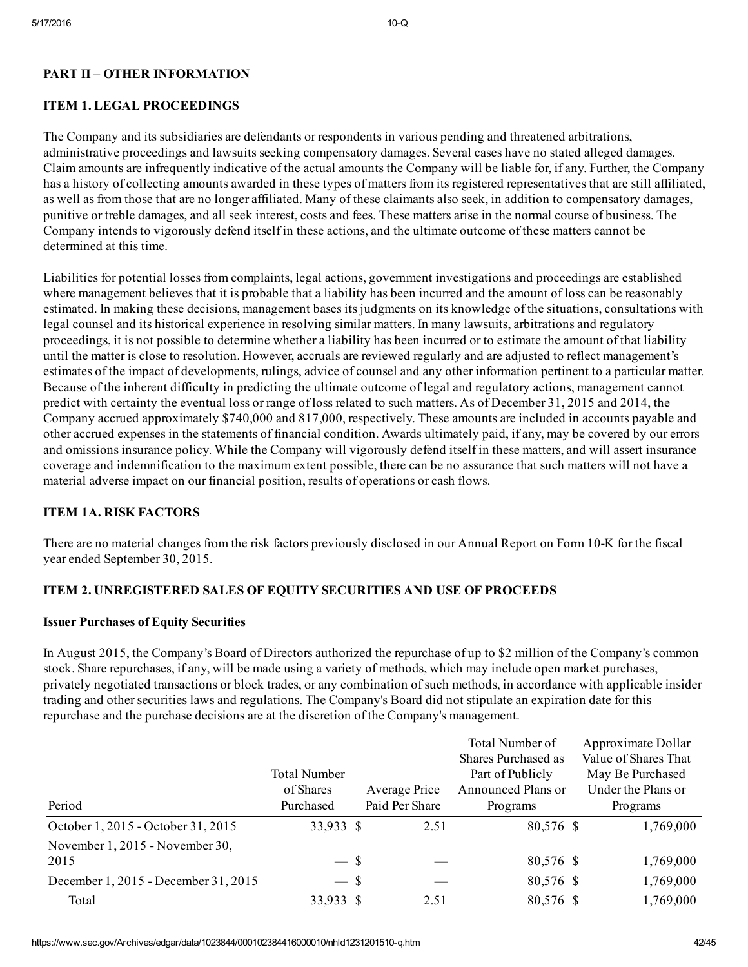# PART II – OTHER INFORMATION

# <span id="page-41-0"></span>ITEM 1. LEGAL PROCEEDINGS

The Company and its subsidiaries are defendants or respondents in various pending and threatened arbitrations, administrative proceedings and lawsuits seeking compensatory damages. Several cases have no stated alleged damages. Claim amounts are infrequently indicative of the actual amounts the Company will be liable for, if any. Further, the Company has a history of collecting amounts awarded in these types of matters from its registered representatives that are still affiliated, as well as from those that are no longer affiliated. Many of these claimants also seek, in addition to compensatory damages, punitive or treble damages, and all seek interest, costs and fees. These matters arise in the normal course of business. The Company intends to vigorously defend itself in these actions, and the ultimate outcome of these matters cannot be determined at this time.

Liabilities for potential losses from complaints, legal actions, government investigations and proceedings are established where management believes that it is probable that a liability has been incurred and the amount of loss can be reasonably estimated. In making these decisions, management bases its judgments on its knowledge of the situations, consultations with legal counsel and its historical experience in resolving similar matters. In many lawsuits, arbitrations and regulatory proceedings, it is not possible to determine whether a liability has been incurred or to estimate the amount of that liability until the matter is close to resolution. However, accruals are reviewed regularly and are adjusted to reflect management's estimates of the impact of developments, rulings, advice of counsel and any other information pertinent to a particular matter. Because of the inherent difficulty in predicting the ultimate outcome of legal and regulatory actions, management cannot predict with certainty the eventual loss or range of loss related to such matters. As of December 31, 2015 and 2014, the Company accrued approximately \$740,000 and 817,000, respectively. These amounts are included in accounts payable and other accrued expenses in the statements of financial condition. Awards ultimately paid, if any, may be covered by our errors and omissions insurance policy. While the Company will vigorously defend itself in these matters, and will assert insurance coverage and indemnification to the maximum extent possible, there can be no assurance that such matters will not have a material adverse impact on our financial position, results of operations or cash flows.

# <span id="page-41-1"></span>ITEM 1A. RISK FACTORS

There are no material changes from the risk factors previously disclosed in our Annual Report on Form 10-K for the fiscal year ended September 30, 2015.

# <span id="page-41-2"></span>ITEM 2. UNREGISTERED SALES OF EQUITY SECURITIES AND USE OF PROCEEDS

#### Issuer Purchases of Equity Securities

In August 2015, the Company's Board of Directors authorized the repurchase of up to \$2 million of the Company's common stock. Share repurchases, if any, will be made using a variety of methods, which may include open market purchases, privately negotiated transactions or block trades, or any combination ofsuch methods, in accordance with applicable insider trading and othersecurities laws and regulations. The Company's Board did not stipulate an expiration date for this repurchase and the purchase decisions are at the discretion of the Company's management.

|                                      |              |                | Total Number of     | Approximate Dollar   |
|--------------------------------------|--------------|----------------|---------------------|----------------------|
|                                      |              |                | Shares Purchased as | Value of Shares That |
|                                      | Total Number |                | Part of Publicly    | May Be Purchased     |
|                                      | of Shares    | Average Price  | Announced Plans or  | Under the Plans or   |
| Period                               | Purchased    | Paid Per Share | Programs            | Programs             |
| October 1, 2015 - October 31, 2015   | 33,933 \$    | 2.51           | 80,576 \$           | 1,769,000            |
| November 1, 2015 - November 30,      |              |                |                     |                      |
| 2015                                 | $-$ \$       |                | 80,576 \$           | 1,769,000            |
| December 1, 2015 - December 31, 2015 | $-$ \$       |                | 80,576 \$           | 1,769,000            |
| Total                                | 33,933 \$    | 2.51           | 80,576 \$           | 1,769,000            |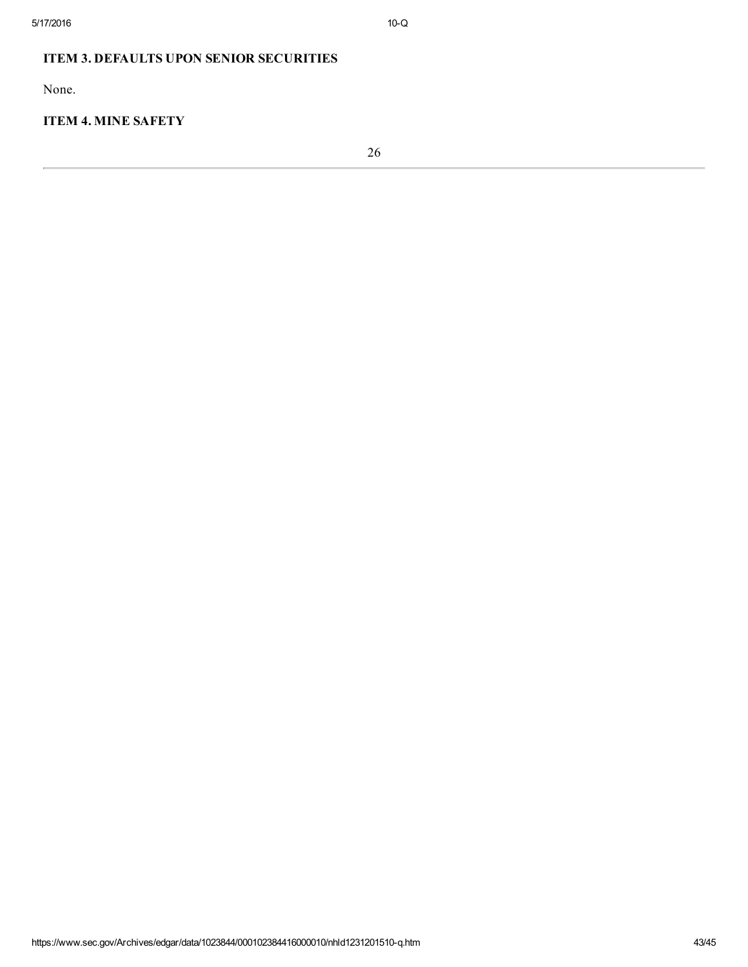# <span id="page-42-0"></span>ITEM 3. DEFAULTS UPON SENIOR SECURITIES

None.

# <span id="page-42-1"></span>ITEM 4. MINE SAFETY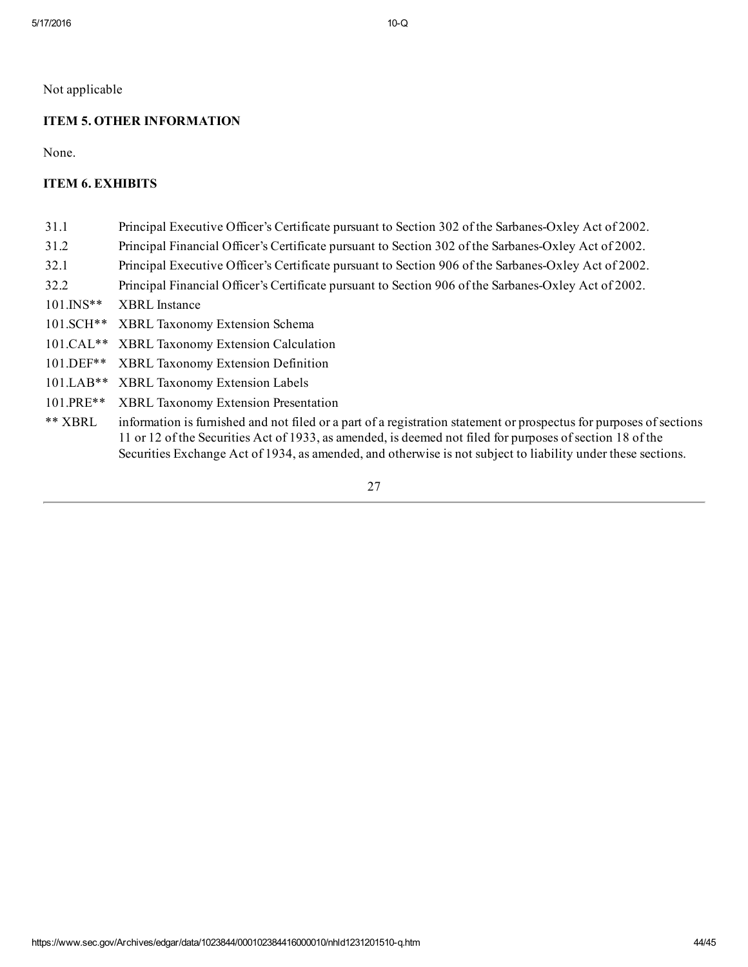Not applicable

# <span id="page-43-0"></span>ITEM 5. OTHER INFORMATION

None.

# <span id="page-43-1"></span>ITEM 6. EXHIBITS

- 31.1 Principal Executive Officer's Certificate pursuant to Section 302 of the Sarbanes-Oxley Act of 2002.
- 31.2 Principal Financial Officer's Certificate pursuant to Section 302 of the Sarbanes-Oxley Act of 2002.
- 32.1 Principal Executive Officer's Certificate pursuant to Section 906 of the Sarbanes-Oxley Act of 2002.
- 32.2 Principal Financial Officer's Certificate pursuant to Section 906 of the Sarbanes-Oxley Act of 2002.
- 101.INS\*\* XBRL Instance
- 101.SCH\*\* XBRL Taxonomy Extension Schema
- 101.CAL\*\* XBRL Taxonomy Extension Calculation
- 101.DEF\*\* XBRL Taxonomy Extension Definition
- 101.LAB\*\* XBRL Taxonomy Extension Labels
- 101.PRE\*\* XBRL Taxonomy Extension Presentation
- \*\* XBRL information is furnished and not filed or a part of a registration statement or prospectus for purposes of sections 11 or 12 of the Securities Act of 1933, as amended, is deemed not filed for purposes ofsection 18 of the Securities Exchange Act of 1934, as amended, and otherwise is not subject to liability under these sections.

27